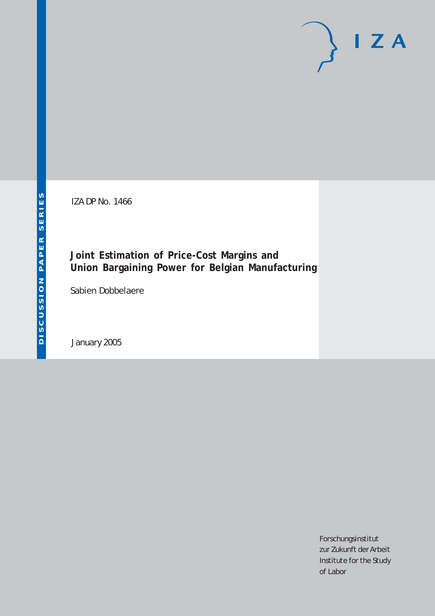IZA DP No. 1466

**Joint Estimation of Price-Cost Margins and Union Bargaining Power for Belgian Manufacturing**

Sabien Dobbelaere

January 2005

Forschungsinstitut zur Zukunft der Arbeit Institute for the Study of Labor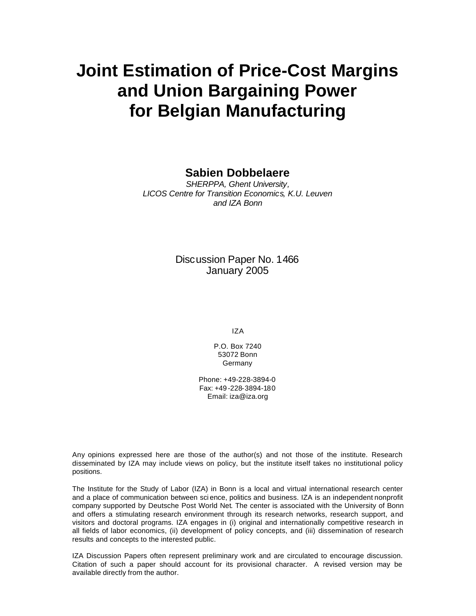# **Joint Estimation of Price-Cost Margins and Union Bargaining Power for Belgian Manufacturing**

# **Sabien Dobbelaere**

*SHERPPA, Ghent University, LICOS Centre for Transition Economics, K.U. Leuven and IZA Bonn*

# Discussion Paper No. 1466 January 2005

IZA

P.O. Box 7240 53072 Bonn **Germany** 

Phone: +49-228-3894-0 Fax: +49 -228-3894-180 Email: iza@iza.org

Any opinions expressed here are those of the author(s) and not those of the institute. Research disseminated by IZA may include views on policy, but the institute itself takes no institutional policy positions.

The Institute for the Study of Labor (IZA) in Bonn is a local and virtual international research center and a place of communication between sci ence, politics and business. IZA is an independent nonprofit company supported by Deutsche Post World Net. The center is associated with the University of Bonn and offers a stimulating research environment through its research networks, research support, and visitors and doctoral programs. IZA engages in (i) original and internationally competitive research in all fields of labor economics, (ii) development of policy concepts, and (iii) dissemination of research results and concepts to the interested public.

IZA Discussion Papers often represent preliminary work and are circulated to encourage discussion. Citation of such a paper should account for its provisional character. A revised version may be available directly from the author.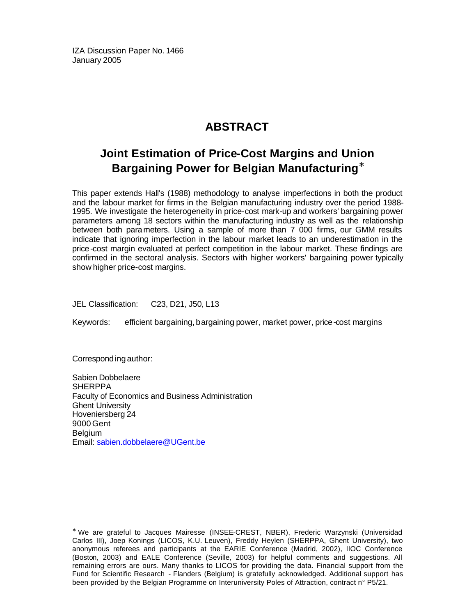IZA Discussion Paper No. 1466 January 2005

# **ABSTRACT**

# **Joint Estimation of Price-Cost Margins and Union Bargaining Power for Belgian Manufacturing\***

This paper extends Hall's (1988) methodology to analyse imperfections in both the product and the labour market for firms in the Belgian manufacturing industry over the period 1988- 1995. We investigate the heterogeneity in price-cost mark-up and workers' bargaining power parameters among 18 sectors within the manufacturing industry as well as the relationship between both parameters. Using a sample of more than 7 000 firms, our GMM results indicate that ignoring imperfection in the labour market leads to an underestimation in the price-cost margin evaluated at perfect competition in the labour market. These findings are confirmed in the sectoral analysis. Sectors with higher workers' bargaining power typically show higher price-cost margins.

JEL Classification: C23, D21, J50, L13

Keywords: efficient bargaining, bargaining power, market power, price-cost margins

Corresponding author:

 $\overline{a}$ 

Sabien Dobbelaere **SHERPPA** Faculty of Economics and Business Administration Ghent University Hoveniersberg 24 9000 Gent Belgium Email: sabien.dobbelaere@UGent.be

<sup>∗</sup> We are grateful to Jacques Mairesse (INSEE-CREST, NBER), Frederic Warzynski (Universidad Carlos III), Joep Konings (LICOS, K.U. Leuven), Freddy Heylen (SHERPPA, Ghent University), two anonymous referees and participants at the EARIE Conference (Madrid, 2002), IIOC Conference (Boston, 2003) and EALE Conference (Seville, 2003) for helpful comments and suggestions. All remaining errors are ours. Many thanks to LICOS for providing the data. Financial support from the Fund for Scientific Research - Flanders (Belgium) is gratefully acknowledged. Additional support has been provided by the Belgian Programme on Interuniversity Poles of Attraction, contract n° P5/21.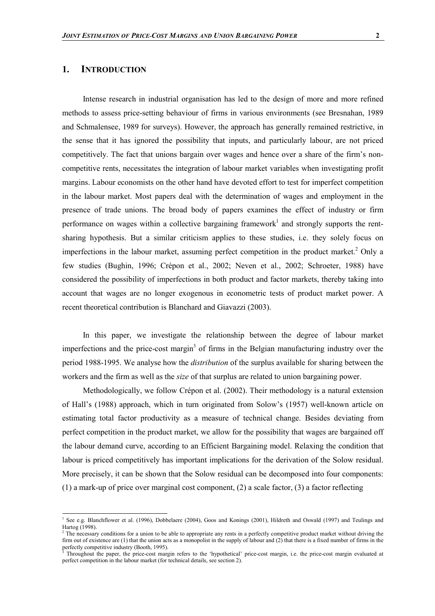# **1. INTRODUCTION**

Intense research in industrial organisation has led to the design of more and more refined methods to assess price-setting behaviour of firms in various environments (see Bresnahan, 1989 and Schmalensee, 1989 for surveys). However, the approach has generally remained restrictive, in the sense that it has ignored the possibility that inputs, and particularly labour, are not priced competitively. The fact that unions bargain over wages and hence over a share of the firm's noncompetitive rents, necessitates the integration of labour market variables when investigating profit margins. Labour economists on the other hand have devoted effort to test for imperfect competition in the labour market. Most papers deal with the determination of wages and employment in the presence of trade unions. The broad body of papers examines the effect of industry or firm performance on wages within a collective bargaining framework<sup>1</sup> and strongly supports the rentsharing hypothesis. But a similar criticism applies to these studies, i.e. they solely focus on imperfections in the labour market, assuming perfect competition in the product market.<sup>2</sup> Only a few studies (Bughin, 1996; Crépon et al., 2002; Neven et al., 2002; Schroeter, 1988) have considered the possibility of imperfections in both product and factor markets, thereby taking into account that wages are no longer exogenous in econometric tests of product market power. A recent theoretical contribution is Blanchard and Giavazzi (2003).

In this paper, we investigate the relationship between the degree of labour market imperfections and the price-cost margin<sup>3</sup> of firms in the Belgian manufacturing industry over the period 1988-1995. We analyse how the *distribution* of the surplus available for sharing between the workers and the firm as well as the *size* of that surplus are related to union bargaining power.

Methodologically, we follow Crépon et al. (2002). Their methodology is a natural extension of Hall's (1988) approach, which in turn originated from Solow's (1957) well-known article on estimating total factor productivity as a measure of technical change. Besides deviating from perfect competition in the product market, we allow for the possibility that wages are bargained off the labour demand curve, according to an Efficient Bargaining model. Relaxing the condition that labour is priced competitively has important implications for the derivation of the Solow residual. More precisely, it can be shown that the Solow residual can be decomposed into four components: (1) a mark-up of price over marginal cost component, (2) a scale factor, (3) a factor reflecting

<sup>1&</sup>lt;br><sup>1</sup> See e.g. Blanchflower et al. (1996), Dobbelaere (2004), Goos and Konings (2001), Hildreth and Oswald (1997) and Teulings and Hartog (1998).

 $<sup>2</sup>$  The necessary conditions for a union to be able to appropriate any rents in a perfectly competitive product market without driving the</sup> firm out of existence are (1) that the union acts as a monopolist in the supply of labour and (2) that there is a fixed number of firms in the perfectly competitive industry (Booth, 1995).

Throughout the paper, the price-cost margin refers to the 'hypothetical' price-cost margin, i.e. the price-cost margin evaluated at perfect competition in the labour market (for technical details, see section 2).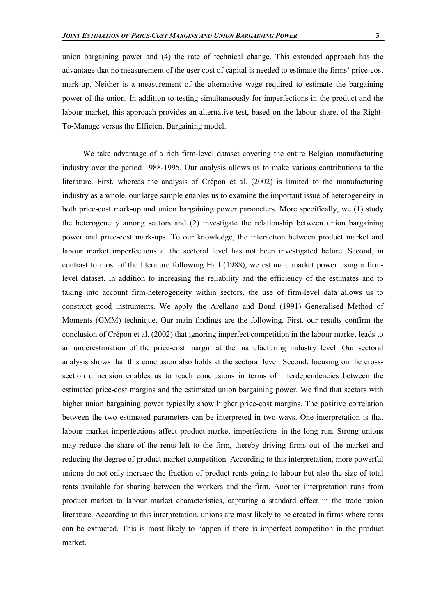union bargaining power and (4) the rate of technical change. This extended approach has the advantage that no measurement of the user cost of capital is needed to estimate the firms' price-cost mark-up. Neither is a measurement of the alternative wage required to estimate the bargaining power of the union. In addition to testing simultaneously for imperfections in the product and the labour market, this approach provides an alternative test, based on the labour share, of the Right-To-Manage versus the Efficient Bargaining model.

We take advantage of a rich firm-level dataset covering the entire Belgian manufacturing industry over the period 1988-1995. Our analysis allows us to make various contributions to the literature. First, whereas the analysis of Crépon et al. (2002) is limited to the manufacturing industry as a whole, our large sample enables us to examine the important issue of heterogeneity in both price-cost mark-up and union bargaining power parameters. More specifically, we (1) study the heterogeneity among sectors and (2) investigate the relationship between union bargaining power and price-cost mark-ups. To our knowledge, the interaction between product market and labour market imperfections at the sectoral level has not been investigated before. Second, in contrast to most of the literature following Hall (1988), we estimate market power using a firmlevel dataset. In addition to increasing the reliability and the efficiency of the estimates and to taking into account firm-heterogeneity within sectors, the use of firm-level data allows us to construct good instruments. We apply the Arellano and Bond (1991) Generalised Method of Moments (GMM) technique. Our main findings are the following. First, our results confirm the conclusion of Crépon et al. (2002) that ignoring imperfect competition in the labour market leads to an underestimation of the price-cost margin at the manufacturing industry level. Our sectoral analysis shows that this conclusion also holds at the sectoral level. Second, focusing on the crosssection dimension enables us to reach conclusions in terms of interdependencies between the estimated price-cost margins and the estimated union bargaining power. We find that sectors with higher union bargaining power typically show higher price-cost margins. The positive correlation between the two estimated parameters can be interpreted in two ways. One interpretation is that labour market imperfections affect product market imperfections in the long run. Strong unions may reduce the share of the rents left to the firm, thereby driving firms out of the market and reducing the degree of product market competition. According to this interpretation, more powerful unions do not only increase the fraction of product rents going to labour but also the size of total rents available for sharing between the workers and the firm. Another interpretation runs from product market to labour market characteristics, capturing a standard effect in the trade union literature. According to this interpretation, unions are most likely to be created in firms where rents can be extracted. This is most likely to happen if there is imperfect competition in the product market.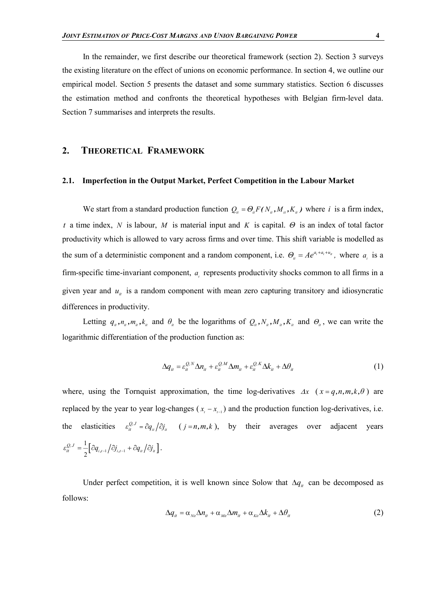In the remainder, we first describe our theoretical framework (section 2). Section 3 surveys the existing literature on the effect of unions on economic performance. In section 4, we outline our empirical model. Section 5 presents the dataset and some summary statistics. Section 6 discusses the estimation method and confronts the theoretical hypotheses with Belgian firm-level data. Section 7 summarises and interprets the results.

### **2. THEORETICAL FRAMEWORK**

#### **2.1. Imperfection in the Output Market, Perfect Competition in the Labour Market**

We start from a standard production function  $Q_{ii} = \Theta_{ii} F(N_{ii}, M_{ii}, K_{ii})$  where *i* is a firm index, *t* a time index, *N* is labour, *M* is material input and *K* is capital. *Θ* is an index of total factor productivity which is allowed to vary across firms and over time. This shift variable is modelled as the sum of a deterministic component and a random component, i.e.  $\Theta_{ii} = Ae^{a_i + a_i + a_i}$ , where  $a_i$  is a firm-specific time-invariant component, *a* represents productivity shocks common to all firms in a given year and  $u_{ij}$  is a random component with mean zero capturing transitory and idiosyncratic differences in productivity.

Letting  $q_{i}$ ,  $n_{i}$ ,  $m_{i}$ ,  $k_{i}$  and  $\theta_{i}$  be the logarithms of  $Q_{i}$ ,  $N_{i}$ ,  $M_{i}$ ,  $K_{i}$  and  $\theta_{i}$ , we can write the logarithmic differentiation of the production function as:

$$
\Delta q_{it} = \varepsilon_{it}^{\mathcal{Q},N} \Delta n_{it} + \varepsilon_{it}^{\mathcal{Q},M} \Delta m_{it} + \varepsilon_{it}^{\mathcal{Q},K} \Delta k_{it} + \Delta \theta_{it}
$$
(1)

where, using the Tornquist approximation, the time log-derivatives  $\Delta x$  ( $x = q, n, m, k, \theta$ ) are replaced by the year to year log-changes ( $x_{i} - x_{i-1}$ ) and the production function log-derivatives, i.e. the elasticities  $\varepsilon_{ii}^{Q, J} = \partial q_{ii} / \partial j_{i}$  (*j* = *n*,*m*,*k*), by their averages over adjacent years  $\left[\partial q_{i,t-1}\big/\partial j_{i,t-1}+\partial q_{it}\big/\partial j_{it}\right]$ 1  $2^{\lfloor \mathcal{U} q_{i,t-1} / \mathcal{O}_{i,t-1} + \mathcal{O}_{i,t} / \mathcal{O}_{i,t}}$  $\varepsilon_{ii}^{Q,J} = \frac{1}{2} \left[ \partial q_{i,i-1} / \partial j_{i,i-1} + \partial q_{ii} / \partial j_{ii} \right].$ 

Under perfect competition, it is well known since Solow that  $\Delta q_i$  can be decomposed as follows:

$$
\Delta q_{it} = \alpha_{\text{N}it} \Delta n_{it} + \alpha_{\text{M}it} \Delta m_{it} + \alpha_{\text{K}it} \Delta k_{it} + \Delta \theta_{it}
$$
 (2)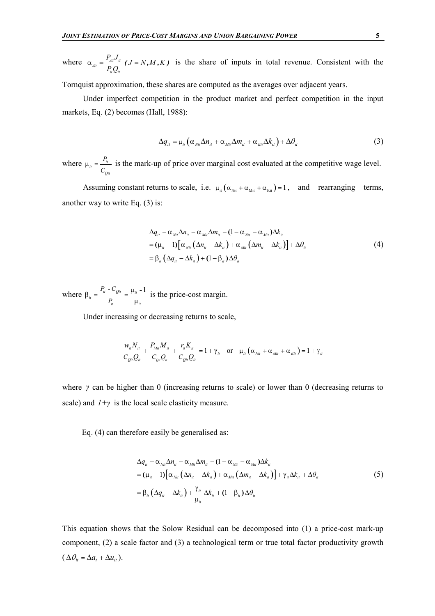where  $\alpha_{jit} = \frac{I_{jit} \sigma_{it}}{R}$ *it it*  $\frac{P_{J_{ii}}J_{ii}}{I}$  (  $J = N, M, K$ *P Q*  $\alpha_{n} = \frac{I_{n}J_{n}}{I_{n}}$  (J = N, M, K) is the share of inputs in total revenue. Consistent with the

Tornquist approximation, these shares are computed as the averages over adjacent years.

Under imperfect competition in the product market and perfect competition in the input markets, Eq. (2) becomes (Hall, 1988):

$$
\Delta q_{ii} = \mu_{ii} \left( \alpha_{\text{N}ii} \Delta n_{ii} + \alpha_{\text{M}ii} \Delta m_{ii} + \alpha_{\text{K}ii} \Delta k_{ii} \right) + \Delta \theta_{ii}
$$
 (3)

where  $\mu_{ii} = \frac{I_{ii}}{S}$ *Qit P C* is the mark-up of price over marginal cost evaluated at the competitive wage level.

Assuming constant returns to scale, i.e.  $\mu_{it} (\alpha_{\text{Nit}} + \alpha_{\text{Nit}} + \alpha_{\text{Kit}}) = 1$ , and rearranging terms, another way to write Eq. (3) is:

$$
\Delta q_{ii} - \alpha_{\text{N}i} \Delta n_{ii} - \alpha_{\text{M}i} \Delta m_{ii} - (1 - \alpha_{\text{N}i} - \alpha_{\text{M}i}) \Delta k_{ii}
$$
  
=  $(\mu_{ii} - 1) [\alpha_{\text{N}i} (\Delta n_{ii} - \Delta k_{ii}) + \alpha_{\text{M}i} (\Delta m_{ii} - \Delta k_{ii})] + \Delta \theta_{ii}$   
=  $\beta_{ii} (\Delta q_{ii} - \Delta k_{ii}) + (1 - \beta_{ii}) \Delta \theta_{ii}$  (4)

where  $\beta_{ii} = \frac{P_{ii} - C_{0ii}}{P_{ii} - 1} = \frac{\mu_{ii} - 1}{P_{ii} - 1}$ µ  $\frac{P_{it} - C_{Qit}}{P_{it}} = \frac{\mu_{it} - \mu_{it}}{P_{it}}$ *it*  $\mu_{it}$ *P*<sub>u</sub> - C *P* is the price-cost margin.

Under increasing or decreasing returns to scale,

$$
\frac{w_{ii}N_{ii}}{C_{0ii}Q_{ii}} + \frac{P_{Mi}M_{ii}}{C_{0ii}Q_{ii}} + \frac{r_{ii}K_{ii}}{C_{0ii}Q_{ii}} = 1 + \gamma_{ii} \quad \text{or} \quad \mu_{ii}(\alpha_{Ni} + \alpha_{Mi} + \alpha_{Ki}) = 1 + \gamma_{ii}
$$

where *γ* can be higher than 0 (increasing returns to scale) or lower than 0 (decreasing returns to scale) and  $I + \gamma$  is the local scale elasticity measure.

Eq. (4) can therefore easily be generalised as:

$$
\Delta q_{ii} - \alpha_{\text{Nii}} \Delta n_{ii} - \alpha_{\text{Mii}} \Delta m_{ii} - (1 - \alpha_{\text{Nii}} - \alpha_{\text{Mii}}) \Delta k_{ii}
$$
\n
$$
= (\mu_{ii} - 1) [\alpha_{\text{Nii}} (\Delta n_{ii} - \Delta k_{ii}) + \alpha_{\text{Mii}} (\Delta m_{ii} - \Delta k_{ii})] + \gamma_{ii} \Delta k_{ii} + \Delta \theta_{ii}
$$
\n
$$
= \beta_{ii} (\Delta q_{ii} - \Delta k_{ii}) + \frac{\gamma_{ii}}{\mu_{ii}} \Delta k_{ii} + (1 - \beta_{ii}) \Delta \theta_{ii}
$$
\n(5)

This equation shows that the Solow Residual can be decomposed into (1) a price-cost mark-up component, (2) a scale factor and (3) a technological term or true total factor productivity growth  $(\Delta \theta_{it} = \Delta a_t + \Delta u_{it}).$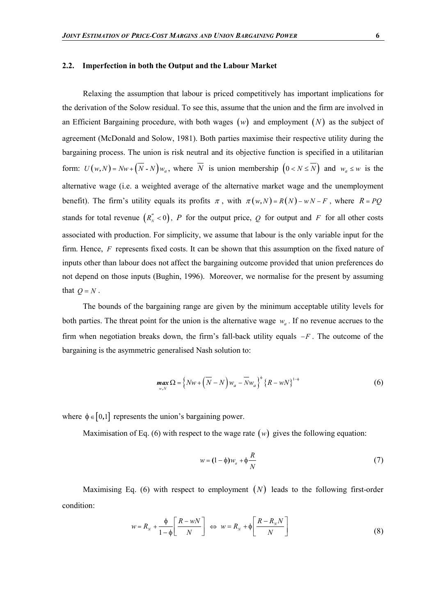Relaxing the assumption that labour is priced competitively has important implications for the derivation of the Solow residual. To see this, assume that the union and the firm are involved in an Efficient Bargaining procedure, with both wages  $(w)$  and employment  $(N)$  as the subject of agreement (McDonald and Solow, 1981). Both parties maximise their respective utility during the bargaining process. The union is risk neutral and its objective function is specified in a utilitarian form:  $U(w, N) = Nw + (N - N)w_a$ , where *N* is union membership  $(0 < N \le N)$  and  $w_a \le w$  is the alternative wage (i.e. a weighted average of the alternative market wage and the unemployment benefit). The firm's utility equals its profits  $\pi$ , with  $\pi(w, N) = R(N) - wN - F$ , where  $R = PQ$ stands for total revenue  $(R_N^{"} < 0)$ , *P* for the output price, *Q* for output and *F* for all other costs associated with production. For simplicity, we assume that labour is the only variable input for the firm. Hence, *F* represents fixed costs. It can be shown that this assumption on the fixed nature of inputs other than labour does not affect the bargaining outcome provided that union preferences do not depend on those inputs (Bughin, 1996). Moreover, we normalise for the present by assuming that  $Q = N$ .

The bounds of the bargaining range are given by the minimum acceptable utility levels for both parties. The threat point for the union is the alternative wage  $w_a$ . If no revenue accrues to the firm when negotiation breaks down, the firm's fall-back utility equals  $-F$ . The outcome of the bargaining is the asymmetric generalised Nash solution to:

$$
\max_{w,N} \Omega = \left\{ Nw + \left( \overline{N} - N \right) w_a - \overline{N} w_a \right\}^{\phi} \left\{ R - wN \right\}^{1-\phi}
$$
 (6)

where  $\phi \in [0,1]$  represents the union's bargaining power.

Maximisation of Eq. (6) with respect to the wage rate  $(w)$  gives the following equation:

$$
w = (1 - \phi)w_a + \phi \frac{R}{N}
$$
 (7)

Maximising Eq.  $(6)$  with respect to employment  $(N)$  leads to the following first-order condition:

$$
w = R_N + \frac{\phi}{1 - \phi} \left[ \frac{R - wN}{N} \right] \iff w = R_N + \phi \left[ \frac{R - R_N N}{N} \right]
$$
(8)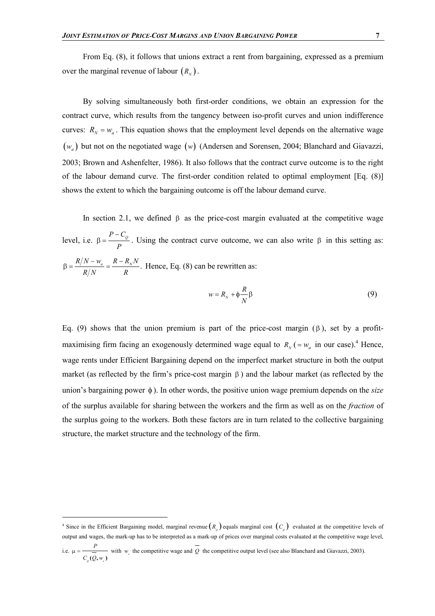By solving simultaneously both first-order conditions, we obtain an expression for the contract curve, which results from the tangency between iso-profit curves and union indifference curves:  $R_N = w_a$ . This equation shows that the employment level depends on the alternative wage ( $w_a$ ) but not on the negotiated wage (w) (Andersen and Sorensen, 2004; Blanchard and Giavazzi, 2003; Brown and Ashenfelter, 1986). It also follows that the contract curve outcome is to the right of the labour demand curve. The first-order condition related to optimal employment [Eq. (8)] shows the extent to which the bargaining outcome is off the labour demand curve.

In section 2.1, we defined  $\beta$  as the price-cost margin evaluated at the competitive wage level, i.e.  $\beta = \frac{P - C_Q}{P}$ *P*  $\beta = \frac{P - C_{\varrho}}{I}$ . Using the contract curve outcome, we can also write  $\beta$  in this setting as:  $\frac{R/N - w_a}{r} = \frac{R - R_N N}{r}.$ *RN R*  $\beta = \frac{R/N - w_a}{R} = \frac{R - R_N N}{R}$ . Hence, Eq. (8) can be rewritten as:

$$
w = R_N + \phi \frac{R}{N} \beta \tag{9}
$$

Eq. (9) shows that the union premium is part of the price-cost margin  $(\beta)$ , set by a profitmaximising firm facing an exogenously determined wage equal to  $R_N$  ( $=w_a$  in our case).<sup>4</sup> Hence, wage rents under Efficient Bargaining depend on the imperfect market structure in both the output market (as reflected by the firm's price-cost margin  $\beta$ ) and the labour market (as reflected by the union's bargaining power  $\phi$ ). In other words, the positive union wage premium depends on the *size* of the surplus available for sharing between the workers and the firm as well as on the *fraction* of the surplus going to the workers. Both these factors are in turn related to the collective bargaining structure, the market structure and the technology of the firm.

l

<sup>&</sup>lt;sup>4</sup> Since in the Efficient Bargaining model, marginal revenue  $(R_q)$  equals marginal cost  $(C_q)$  evaluated at the competitive levels of output and wages, the mark-up has to be interpreted as a mark-up of prices over marginal costs evaluated at the competitive wage level, *P*

i.e. *Q a*  $C_{\alpha}(Q, w)$  $\mu = \frac{1}{C_{\alpha}(Q, w)}$  with *w<sub>a</sub>* the competitive wage and *Q* the competitive output level (see also Blanchard and Giavazzi, 2003).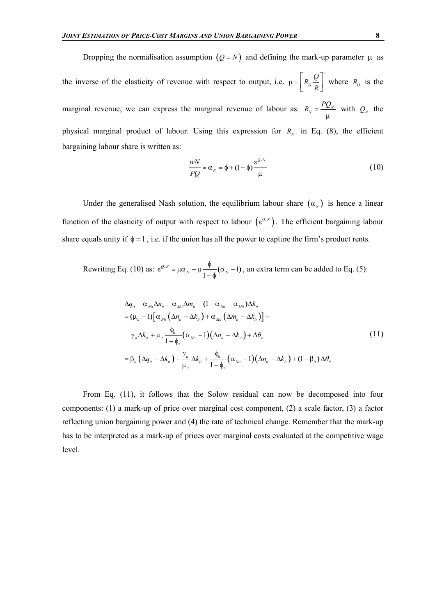Dropping the normalisation assumption  $(Q = N)$  and defining the mark-up parameter  $\mu$  as the inverse of the elasticity of revenue with respect to output, i.e.  $\mu = \left[R_0 \frac{Q}{r}\right]$  $R_o \frac{Q}{R}$ *R*  $\mu = \left[ R_{o} \frac{Q}{R_{o}} \right]^{-1}$  $R_{\varrho} \frac{\mathcal{Q}}{R}$  where  $R_{\varrho}$  is the marginal revenue, we can express the marginal revenue of labour as:  $R_N = \frac{P_{N}}{P_N}$  $R_N = \frac{PQ_N}{\mu}$  with  $Q_N$  the physical marginal product of labour. Using this expression for  $R<sub>N</sub>$  in Eq. (8), the efficient bargaining labour share is written as:

$$
\frac{wN}{PQ} = \alpha_N = \phi + (1 - \phi) \frac{\varepsilon^{Q,N}}{\mu}
$$
\n(10)

Under the generalised Nash solution, the equilibrium labour share  $(\alpha_{N})$  is hence a linear function of the elasticity of output with respect to labour  $(\epsilon^{0,N})$ . The efficient bargaining labour share equals unity if  $\phi = 1$ , i.e. if the union has all the power to capture the firm's product rents.

Rewriting Eq. (10) as:  $\varepsilon^{Q,N} = \mu \alpha_N + \mu \frac{\Psi}{\Phi} (\alpha_N - 1)$ 1  $\epsilon^{Q,N} = \mu \alpha_N + \mu \frac{\phi}{1-\phi} (\alpha_N - 1)$ , an extra term can be added to Eq. (5):

$$
\Delta q_{ii} - \alpha_{\text{N}ii} \Delta n_{ii} - \alpha_{\text{M}ii} \Delta m_{ii} - (1 - \alpha_{\text{N}ii} - \alpha_{\text{M}ii}) \Delta k_{ii}
$$
\n
$$
= (\mu_{ii} - 1) [\alpha_{\text{N}ii} (\Delta n_{ii} - \Delta k_{ii}) + \alpha_{\text{M}ii} (\Delta m_{ii} - \Delta k_{ii})] +
$$
\n
$$
\gamma_{ii} \Delta k_{ii} + \mu_{ii} \frac{\phi_{ii}}{1 - \phi_{ii}} (\alpha_{\text{N}ii} - 1) (\Delta n_{ii} - \Delta k_{ii}) + \Delta \theta_{ii}
$$
\n
$$
= \beta_{ii} (\Delta q_{ii} - \Delta k_{ii}) + \frac{\gamma_{ii}}{\mu_{ii}} \Delta k_{ii} + \frac{\phi_{ii}}{1 - \phi_{ii}} (\alpha_{\text{N}ii} - 1) (\Delta n_{ii} - \Delta k_{ii}) + (1 - \beta_{ii}) \Delta \theta_{ii}
$$
\n(11)

From Eq. (11), it follows that the Solow residual can now be decomposed into four components: (1) a mark-up of price over marginal cost component, (2) a scale factor, (3) a factor reflecting union bargaining power and (4) the rate of technical change. Remember that the mark-up has to be interpreted as a mark-up of prices over marginal costs evaluated at the competitive wage level.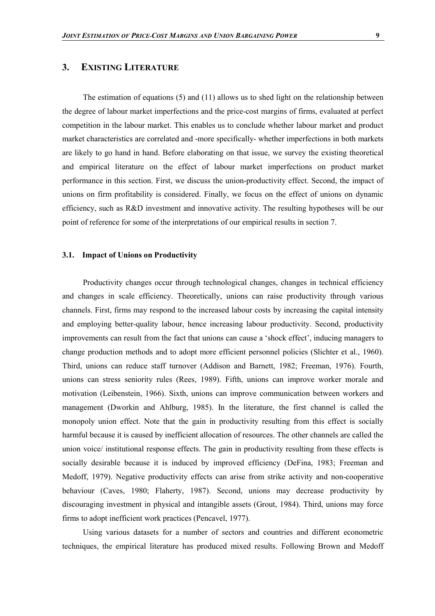# **3. EXISTING LITERATURE**

The estimation of equations (5) and (11) allows us to shed light on the relationship between the degree of labour market imperfections and the price-cost margins of firms, evaluated at perfect competition in the labour market. This enables us to conclude whether labour market and product market characteristics are correlated and -more specifically- whether imperfections in both markets are likely to go hand in hand. Before elaborating on that issue, we survey the existing theoretical and empirical literature on the effect of labour market imperfections on product market performance in this section. First, we discuss the union-productivity effect. Second, the impact of unions on firm profitability is considered. Finally, we focus on the effect of unions on dynamic efficiency, such as R&D investment and innovative activity. The resulting hypotheses will be our point of reference for some of the interpretations of our empirical results in section 7.

#### **3.1. Impact of Unions on Productivity**

Productivity changes occur through technological changes, changes in technical efficiency and changes in scale efficiency. Theoretically, unions can raise productivity through various channels. First, firms may respond to the increased labour costs by increasing the capital intensity and employing better-quality labour, hence increasing labour productivity. Second, productivity improvements can result from the fact that unions can cause a 'shock effect', inducing managers to change production methods and to adopt more efficient personnel policies (Slichter et al., 1960). Third, unions can reduce staff turnover (Addison and Barnett, 1982; Freeman, 1976). Fourth, unions can stress seniority rules (Rees, 1989). Fifth, unions can improve worker morale and motivation (Leibenstein, 1966). Sixth, unions can improve communication between workers and management (Dworkin and Ahlburg, 1985). In the literature, the first channel is called the monopoly union effect. Note that the gain in productivity resulting from this effect is socially harmful because it is caused by inefficient allocation of resources. The other channels are called the union voice/ institutional response effects. The gain in productivity resulting from these effects is socially desirable because it is induced by improved efficiency (DeFina, 1983; Freeman and Medoff, 1979). Negative productivity effects can arise from strike activity and non-cooperative behaviour (Caves, 1980; Flaherty, 1987). Second, unions may decrease productivity by discouraging investment in physical and intangible assets (Grout, 1984). Third, unions may force firms to adopt inefficient work practices (Pencavel, 1977).

Using various datasets for a number of sectors and countries and different econometric techniques, the empirical literature has produced mixed results. Following Brown and Medoff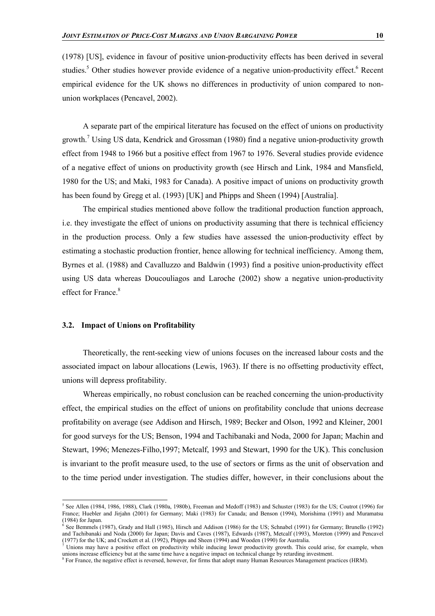(1978) [US], evidence in favour of positive union-productivity effects has been derived in several studies.<sup>5</sup> Other studies however provide evidence of a negative union-productivity effect.<sup>6</sup> Recent empirical evidence for the UK shows no differences in productivity of union compared to nonunion workplaces (Pencavel, 2002).

A separate part of the empirical literature has focused on the effect of unions on productivity growth.<sup>7</sup> Using US data, Kendrick and Grossman (1980) find a negative union-productivity growth effect from 1948 to 1966 but a positive effect from 1967 to 1976. Several studies provide evidence of a negative effect of unions on productivity growth (see Hirsch and Link, 1984 and Mansfield, 1980 for the US; and Maki, 1983 for Canada). A positive impact of unions on productivity growth has been found by Gregg et al. (1993) [UK] and Phipps and Sheen (1994) [Australia].

The empirical studies mentioned above follow the traditional production function approach, i.e. they investigate the effect of unions on productivity assuming that there is technical efficiency in the production process. Only a few studies have assessed the union-productivity effect by estimating a stochastic production frontier, hence allowing for technical inefficiency. Among them, Byrnes et al. (1988) and Cavalluzzo and Baldwin (1993) find a positive union-productivity effect using US data whereas Doucouliagos and Laroche (2002) show a negative union-productivity effect for France.<sup>8</sup>

#### **3.2. Impact of Unions on Profitability**

l

Theoretically, the rent-seeking view of unions focuses on the increased labour costs and the associated impact on labour allocations (Lewis, 1963). If there is no offsetting productivity effect, unions will depress profitability.

Whereas empirically, no robust conclusion can be reached concerning the union-productivity effect, the empirical studies on the effect of unions on profitability conclude that unions decrease profitability on average (see Addison and Hirsch, 1989; Becker and Olson, 1992 and Kleiner, 2001 for good surveys for the US; Benson, 1994 and Tachibanaki and Noda, 2000 for Japan; Machin and Stewart, 1996; Menezes-Filho,1997; Metcalf, 1993 and Stewart, 1990 for the UK). This conclusion is invariant to the profit measure used, to the use of sectors or firms as the unit of observation and to the time period under investigation. The studies differ, however, in their conclusions about the

 $5$  See Allen (1984, 1986, 1988), Clark (1980a, 1980b), Freeman and Medoff (1983) and Schuster (1983) for the US; Coutrot (1996) for France; Huebler and Jirjahn (2001) for Germany; Maki (1983) for Canada; and Benson (1994), Morishima (1991) and Muramatsu  $(1984)$  for Japan.

<sup>&</sup>lt;sup>6</sup> See Bemmels (1987), Grady and Hall (1985), Hirsch and Addison (1986) for the US; Schnabel (1991) for Germany; Brunello (1992) and Tachibanaki and Noda (2000) for Japan; Davis and Caves (1987), Edwards (1987), Metcalf (1993), Moreton (1999) and Pencavel (1977) for the UK; and Crockett et al. (1992), Phipps and Sheen (1994) and Wooden (1990) for Australia.

Unions may have a positive effect on productivity while inducing lower productivity growth. This could arise, for example, when unions increase efficiency but at the same time have a negative impact on technical change by retarding investment.

<sup>&</sup>lt;sup>8</sup> For France, the negative effect is reversed, however, for firms that adopt many Human Resources Management practices (HRM).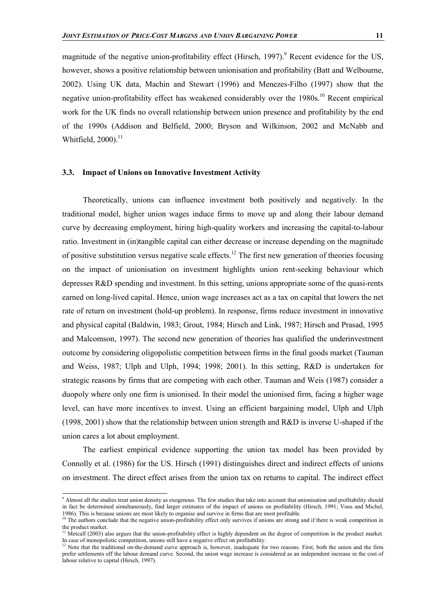magnitude of the negative union-profitability effect (Hirsch, 1997).<sup>9</sup> Recent evidence for the US, however, shows a positive relationship between unionisation and profitability (Batt and Welbourne, 2002). Using UK data, Machin and Stewart (1996) and Menezes-Filho (1997) show that the negative union-profitability effect has weakened considerably over the 1980s.<sup>10</sup> Recent empirical work for the UK finds no overall relationship between union presence and profitability by the end of the 1990s (Addison and Belfield, 2000; Bryson and Wilkinson, 2002 and McNabb and Whitfield,  $2000$ ).<sup>11</sup>

#### **3.3. Impact of Unions on Innovative Investment Activity**

Theoretically, unions can influence investment both positively and negatively. In the traditional model, higher union wages induce firms to move up and along their labour demand curve by decreasing employment, hiring high-quality workers and increasing the capital-to-labour ratio. Investment in (in)tangible capital can either decrease or increase depending on the magnitude of positive substitution versus negative scale effects.<sup>12</sup> The first new generation of theories focusing on the impact of unionisation on investment highlights union rent-seeking behaviour which depresses R&D spending and investment. In this setting, unions appropriate some of the quasi-rents earned on long-lived capital. Hence, union wage increases act as a tax on capital that lowers the net rate of return on investment (hold-up problem). In response, firms reduce investment in innovative and physical capital (Baldwin, 1983; Grout, 1984; Hirsch and Link, 1987; Hirsch and Prasad, 1995 and Malcomson, 1997). The second new generation of theories has qualified the underinvestment outcome by considering oligopolistic competition between firms in the final goods market (Tauman and Weiss, 1987; Ulph and Ulph, 1994; 1998; 2001). In this setting, R&D is undertaken for strategic reasons by firms that are competing with each other. Tauman and Weis (1987) consider a duopoly where only one firm is unionised. In their model the unionised firm, facing a higher wage level, can have more incentives to invest. Using an efficient bargaining model, Ulph and Ulph (1998, 2001) show that the relationship between union strength and R&D is inverse U-shaped if the union cares a lot about employment.

The earliest empirical evidence supporting the union tax model has been provided by Connolly et al. (1986) for the US. Hirsch (1991) distinguishes direct and indirect effects of unions on investment. The direct effect arises from the union tax on returns to capital. The indirect effect

 9 Almost all the studies treat union density as exogenous. The few studies that take into account that unionisation and profitability should in fact be determined simultaneously, find larger estimates of the impact of unions on profitability (Hirsch, 1991; Voos and Michel, 1986). This is because unions are most likely to organise and survive in firms that are most profitable.

<sup>&</sup>lt;sup>10</sup> The authors conclude that the negative union-profitability effect only survives if unions are strong and if there is weak competition in the product market.

 $11$  Metcalf (2003) also argues that the union-profitability effect is highly dependent on the degree of competition in the product market. In case of monopolistic competition, unions still have a negative effect on profitability.

Note that the traditional on-the-demand curve approach is, however, inadequate for two reasons. First, both the union and the firm prefer settlements off the labour demand curve. Second, the union wage increase is considered as an independent increase in the cost of labour relative to capital (Hirsch, 1997).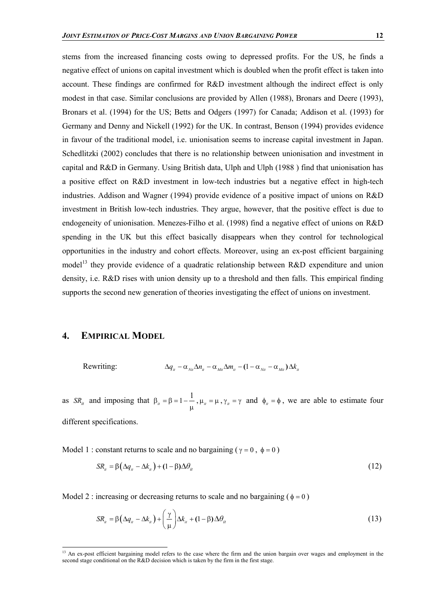stems from the increased financing costs owing to depressed profits. For the US, he finds a negative effect of unions on capital investment which is doubled when the profit effect is taken into account. These findings are confirmed for R&D investment although the indirect effect is only modest in that case. Similar conclusions are provided by Allen (1988), Bronars and Deere (1993), Bronars et al. (1994) for the US; Betts and Odgers (1997) for Canada; Addison et al. (1993) for Germany and Denny and Nickell (1992) for the UK. In contrast, Benson (1994) provides evidence in favour of the traditional model, i.e. unionisation seems to increase capital investment in Japan. Schedlitzki (2002) concludes that there is no relationship between unionisation and investment in capital and R&D in Germany. Using British data, Ulph and Ulph (1988 ) find that unionisation has a positive effect on R&D investment in low-tech industries but a negative effect in high-tech industries. Addison and Wagner (1994) provide evidence of a positive impact of unions on R&D investment in British low-tech industries. They argue, however, that the positive effect is due to endogeneity of unionisation. Menezes-Filho et al. (1998) find a negative effect of unions on R&D spending in the UK but this effect basically disappears when they control for technological opportunities in the industry and cohort effects. Moreover, using an ex-post efficient bargaining model<sup>13</sup> they provide evidence of a quadratic relationship between R&D expenditure and union density, i.e. R&D rises with union density up to a threshold and then falls. This empirical finding supports the second new generation of theories investigating the effect of unions on investment.

# **4. EMPIRICAL MODEL**

l

Rewriting:  $\Delta q_{ii} - \alpha_{_{Nii}} \Delta n_{ii} - \alpha_{_{Mii}} \Delta m_{ii} - (1 - \alpha_{_{Nii}} - \alpha_{_{Mii}}) \Delta k_{ii}$ 

as  $SR_{it}$  and imposing that  $\beta_{it} = \beta = 1 - \frac{1}{\mu}$ ,  $\mu_{it} = \mu$ ,  $\gamma_{it} = \gamma$  and  $\phi_{it} = \phi$ , we are able to estimate four different specifications.

Model 1 : constant returns to scale and no bargaining ( $\gamma = 0$ ,  $\phi = 0$ )

$$
SR_{ii} = \beta \left( \Delta q_{ii} - \Delta k_{ii} \right) + (1 - \beta) \Delta \theta_{ii}
$$
\n(12)

Model 2 : increasing or decreasing returns to scale and no bargaining ( $\phi = 0$ )

$$
SR_{ii} = \beta \left( \Delta q_{ii} - \Delta k_{ii} \right) + \left( \frac{\gamma}{\mu} \right) \Delta k_{ii} + (1 - \beta) \Delta \theta_{ii}
$$
 (13)

<sup>&</sup>lt;sup>13</sup> An ex-post efficient bargaining model refers to the case where the firm and the union bargain over wages and employment in the second stage conditional on the R&D decision which is taken by the firm in the first stage.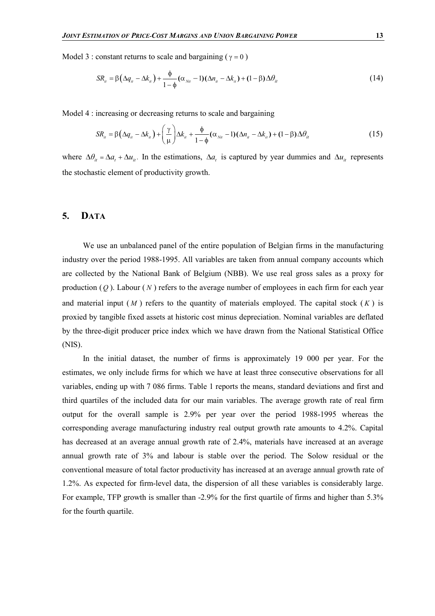Model 3 : constant returns to scale and bargaining ( $\gamma = 0$ )

$$
SR_u = \beta \left( \Delta q_u - \Delta k_u \right) + \frac{\phi}{1 - \phi} (\alpha_{\text{N}u} - 1) (\Delta n_u - \Delta k_u) + (1 - \beta) \Delta \theta_u \tag{14}
$$

Model 4 : increasing or decreasing returns to scale and bargaining

$$
SR_{ii} = \beta \left( \Delta q_{ii} - \Delta k_{ii} \right) + \left( \frac{\gamma}{\mu} \right) \Delta k_{ii} + \frac{\phi}{1 - \phi} (\alpha_{\text{N}ii} - 1) (\Delta n_{ii} - \Delta k_{ii}) + (1 - \beta) \Delta \theta_{ii}
$$
(15)

where  $\Delta\theta_{ii} = \Delta a_i + \Delta u_{ii}$ . In the estimations,  $\Delta a_i$  is captured by year dummies and  $\Delta u_{ii}$  represents the stochastic element of productivity growth.

### **5. DATA**

We use an unbalanced panel of the entire population of Belgian firms in the manufacturing industry over the period 1988-1995. All variables are taken from annual company accounts which are collected by the National Bank of Belgium (NBB). We use real gross sales as a proxy for production  $(Q)$ . Labour  $(N)$  refers to the average number of employees in each firm for each year and material input  $(M)$  refers to the quantity of materials employed. The capital stock  $(K)$  is proxied by tangible fixed assets at historic cost minus depreciation. Nominal variables are deflated by the three-digit producer price index which we have drawn from the National Statistical Office (NIS).

In the initial dataset, the number of firms is approximately 19 000 per year. For the estimates, we only include firms for which we have at least three consecutive observations for all variables, ending up with 7 086 firms. Table 1 reports the means, standard deviations and first and third quartiles of the included data for our main variables. The average growth rate of real firm output for the overall sample is 2.9% per year over the period 1988-1995 whereas the corresponding average manufacturing industry real output growth rate amounts to 4.2%. Capital has decreased at an average annual growth rate of 2.4%, materials have increased at an average annual growth rate of 3% and labour is stable over the period. The Solow residual or the conventional measure of total factor productivity has increased at an average annual growth rate of 1.2%. As expected for firm-level data, the dispersion of all these variables is considerably large. For example, TFP growth is smaller than -2.9% for the first quartile of firms and higher than 5.3% for the fourth quartile.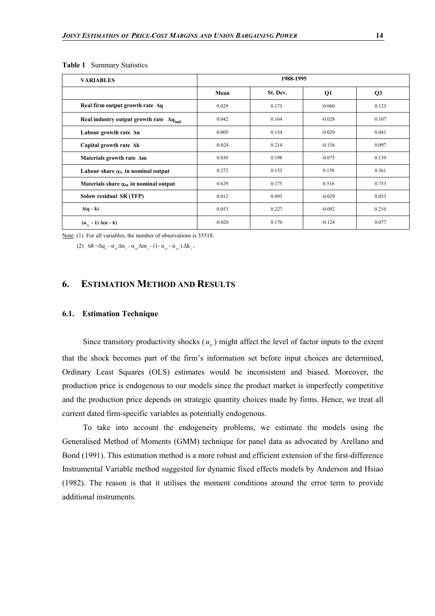| <b>VARIABLES</b>                                           | 1988-1995 |          |          |       |  |
|------------------------------------------------------------|-----------|----------|----------|-------|--|
|                                                            | Mean      | St. Dev. | Q1       | Q3    |  |
| Real firm output growth rate $\Delta q$                    | 0.029     | 0.173    | $-0.060$ | 0.123 |  |
| Real industry output growth rate $\Delta q$ <sub>ind</sub> | 0.042     | 0.164    | $-0.028$ | 0.107 |  |
| Labour growth rate An                                      | 0.005     | 0.154    | $-0.029$ | 0.041 |  |
| Capital growth rate $\Delta k$                             | $-0.024$  | 0.214    | $-0.156$ | 0.097 |  |
| Materials growth rate Am                                   | 0.030     | 0.198    | $-0.075$ | 0.139 |  |
| Labour share $\alpha_N$ in nominal output                  | 0.272     | 0.153    | 0.158    | 0.361 |  |
| Materials share $\alpha_M$ in nominal output               | 0.629     | 0.175    | 0.516    | 0.753 |  |
| Solow residual SR (TFP)                                    | 0.012     | 0.093    | $-0.029$ | 0.053 |  |
| $\Delta(q - k)$                                            | 0.053     | 0.227    | $-0.092$ | 0.210 |  |
| $(\alpha_{\rm v} - 1) \Delta(n - k)$                       | $-0.020$  | 0.170    | $-0.124$ | 0.077 |  |

**Table 1** Summary Statistics

Note: (1) For all variables, the number of observations is 35518.

(2)  $SR = \Delta q_{i} - \alpha_{\text{Nit}} \Delta n_{i} - \alpha_{\text{Mit}} \Delta m_{i} - (1 - \alpha_{\text{Nit}} - \alpha_{\text{Mit}}) \Delta k_{i}$ 

# **6. ESTIMATION METHOD AND RESULTS**

#### **6.1. Estimation Technique**

Since transitory productivity shocks  $(u_{ij})$  might affect the level of factor inputs to the extent that the shock becomes part of the firm's information set before input choices are determined, Ordinary Least Squares (OLS) estimates would be inconsistent and biased. Moreover, the production price is endogenous to our models since the product market is imperfectly competitive and the production price depends on strategic quantity choices made by firms. Hence, we treat all current dated firm-specific variables as potentially endogenous.

To take into account the endogeneity problems, we estimate the models using the Generalised Method of Moments (GMM) technique for panel data as advocated by Arellano and Bond (1991). This estimation method is a more robust and efficient extension of the first-difference Instrumental Variable method suggested for dynamic fixed effects models by Anderson and Hsiao (1982). The reason is that it utilises the moment conditions around the error term to provide additional instruments.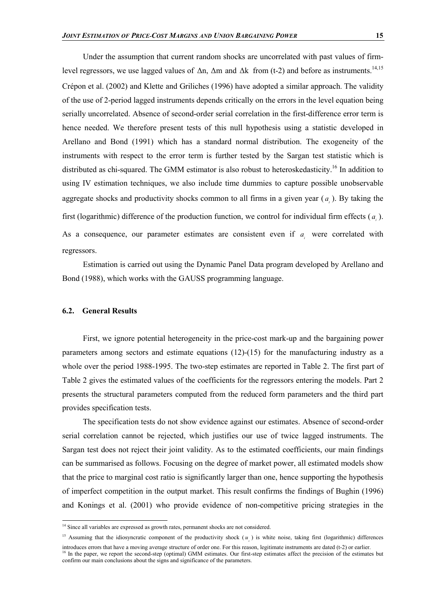Under the assumption that current random shocks are uncorrelated with past values of firmlevel regressors, we use lagged values of  $\Delta n$ ,  $\Delta m$  and  $\Delta k$  from (t-2) and before as instruments.<sup>14,15</sup> Crépon et al. (2002) and Klette and Griliches (1996) have adopted a similar approach. The validity of the use of 2-period lagged instruments depends critically on the errors in the level equation being serially uncorrelated. Absence of second-order serial correlation in the first-difference error term is hence needed. We therefore present tests of this null hypothesis using a statistic developed in Arellano and Bond (1991) which has a standard normal distribution. The exogeneity of the instruments with respect to the error term is further tested by the Sargan test statistic which is distributed as chi-squared. The GMM estimator is also robust to heteroskedasticity.<sup>16</sup> In addition to using IV estimation techniques, we also include time dummies to capture possible unobservable aggregate shocks and productivity shocks common to all firms in a given year  $(a_1)$ . By taking the first (logarithmic) difference of the production function, we control for individual firm effects ( *<sup>i</sup> a* ). As a consequence, our parameter estimates are consistent even if  $a_i$  were correlated with regressors.

Estimation is carried out using the Dynamic Panel Data program developed by Arellano and Bond (1988), which works with the GAUSS programming language.

#### **6.2. General Results**

l

First, we ignore potential heterogeneity in the price-cost mark-up and the bargaining power parameters among sectors and estimate equations (12)-(15) for the manufacturing industry as a whole over the period 1988-1995. The two-step estimates are reported in Table 2. The first part of Table 2 gives the estimated values of the coefficients for the regressors entering the models. Part 2 presents the structural parameters computed from the reduced form parameters and the third part provides specification tests.

The specification tests do not show evidence against our estimates. Absence of second-order serial correlation cannot be rejected, which justifies our use of twice lagged instruments. The Sargan test does not reject their joint validity. As to the estimated coefficients, our main findings can be summarised as follows. Focusing on the degree of market power, all estimated models show that the price to marginal cost ratio is significantly larger than one, hence supporting the hypothesis of imperfect competition in the output market. This result confirms the findings of Bughin (1996) and Konings et al. (2001) who provide evidence of non-competitive pricing strategies in the

 $14$  Since all variables are expressed as growth rates, permanent shocks are not considered.

<sup>&</sup>lt;sup>15</sup> Assuming that the idiosyncratic component of the productivity shock  $(u_{n})$  is white noise, taking first (logarithmic) differences

introduces errors that have a moving average structure of order one. For this reason, legitimate instruments are dated (t-2) or earlier. <sup>16</sup> In the paper, we report the second-step (optimal) GMM estimates. Our first-step estimates affect the precision of the estimates but confirm our main conclusions about the signs and significance of the parameters.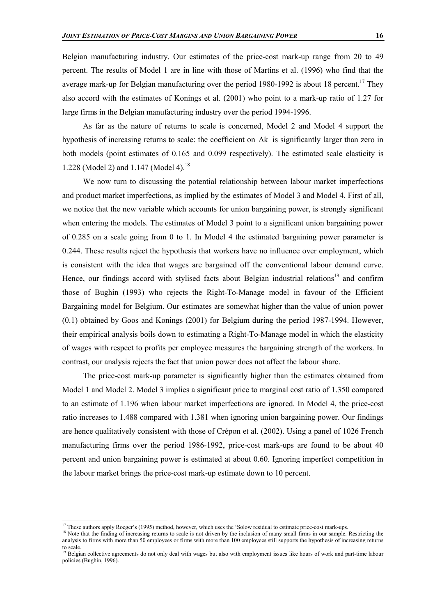Belgian manufacturing industry. Our estimates of the price-cost mark-up range from 20 to 49 percent. The results of Model 1 are in line with those of Martins et al. (1996) who find that the average mark-up for Belgian manufacturing over the period 1980-1992 is about 18 percent.<sup>17</sup> They also accord with the estimates of Konings et al. (2001) who point to a mark-up ratio of 1.27 for large firms in the Belgian manufacturing industry over the period 1994-1996.

As far as the nature of returns to scale is concerned, Model 2 and Model 4 support the hypothesis of increasing returns to scale: the coefficient on ∆k is significantly larger than zero in both models (point estimates of 0.165 and 0.099 respectively). The estimated scale elasticity is 1.228 (Model 2) and 1.147 (Model 4).<sup>18</sup>

We now turn to discussing the potential relationship between labour market imperfections and product market imperfections, as implied by the estimates of Model 3 and Model 4. First of all, we notice that the new variable which accounts for union bargaining power, is strongly significant when entering the models. The estimates of Model 3 point to a significant union bargaining power of 0.285 on a scale going from 0 to 1. In Model 4 the estimated bargaining power parameter is 0.244. These results reject the hypothesis that workers have no influence over employment, which is consistent with the idea that wages are bargained off the conventional labour demand curve. Hence, our findings accord with stylised facts about Belgian industrial relations<sup>19</sup> and confirm those of Bughin (1993) who rejects the Right-To-Manage model in favour of the Efficient Bargaining model for Belgium. Our estimates are somewhat higher than the value of union power (0.1) obtained by Goos and Konings (2001) for Belgium during the period 1987-1994. However, their empirical analysis boils down to estimating a Right-To-Manage model in which the elasticity of wages with respect to profits per employee measures the bargaining strength of the workers. In contrast, our analysis rejects the fact that union power does not affect the labour share.

The price-cost mark-up parameter is significantly higher than the estimates obtained from Model 1 and Model 2. Model 3 implies a significant price to marginal cost ratio of 1.350 compared to an estimate of 1.196 when labour market imperfections are ignored. In Model 4, the price-cost ratio increases to 1.488 compared with 1.381 when ignoring union bargaining power. Our findings are hence qualitatively consistent with those of Crépon et al. (2002). Using a panel of 1026 French manufacturing firms over the period 1986-1992, price-cost mark-ups are found to be about 40 percent and union bargaining power is estimated at about 0.60. Ignoring imperfect competition in the labour market brings the price-cost mark-up estimate down to 10 percent.

l

 $17$  These authors apply Roeger's (1995) method, however, which uses the 'Solow residual to estimate price-cost mark-ups.

<sup>&</sup>lt;sup>18</sup> Note that the finding of increasing returns to scale is not driven by the inclusion of many small firms in our sample. Restricting the analysis to firms with more than 50 employees or firms with more than 100 employees still supports the hypothesis of increasing returns to scale.

<sup>&</sup>lt;sup>19</sup> Belgian collective agreements do not only deal with wages but also with employment issues like hours of work and part-time labour policies (Bughin, 1996).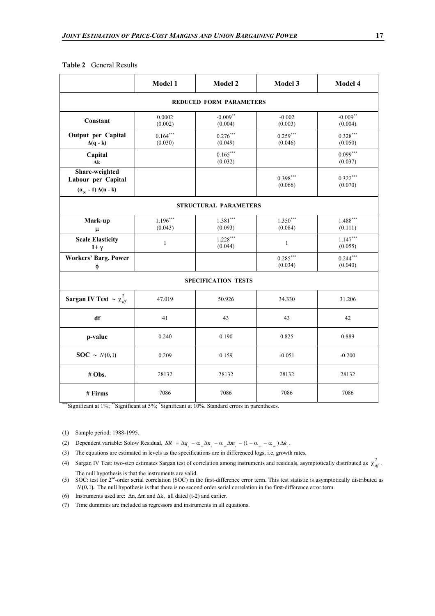|                                                                          | Model 1               | Model 2                        | Model 3               | Model 4               |
|--------------------------------------------------------------------------|-----------------------|--------------------------------|-----------------------|-----------------------|
|                                                                          |                       | <b>REDUCED FORM PARAMETERS</b> |                       |                       |
| Constant                                                                 | 0.0002<br>(0.002)     | $-0.009**$<br>(0.004)          | $-0.002$<br>(0.003)   | $-0.009**$<br>(0.004) |
| Output per Capital<br>$\Delta(q - k)$                                    | $0.164***$<br>(0.030) | $0.276***$<br>(0.049)          | $0.259***$<br>(0.046) | $0.328***$<br>(0.050) |
| Capital<br>$\Delta k$                                                    |                       | $0.165***$<br>(0.032)          |                       | $0.099***$<br>(0.037) |
| Share-weighted<br>Labour per Capital<br>$(\alpha_{N} - 1) \Delta(n - k)$ |                       |                                | $0.398***$<br>(0.066) | $0.322***$<br>(0.070) |
|                                                                          |                       | <b>STRUCTURAL PARAMETERS</b>   |                       |                       |
| Mark-up<br>μ                                                             | $1.196***$<br>(0.043) | $1.381***$<br>(0.093)          | $1.350***$<br>(0.084) | $1.488***$<br>(0.111) |
| <b>Scale Elasticity</b><br>$1+\gamma$                                    | $\mathbf{1}$          | $1.228***$<br>(0.044)          | $\mathbf{1}$          | $1.147***$<br>(0.055) |
| <b>Workers' Barg. Power</b><br>ф                                         |                       |                                | $0.285***$<br>(0.034) | $0.244***$<br>(0.040) |
|                                                                          |                       | <b>SPECIFICATION TESTS</b>     |                       |                       |
| <b>Sargan IV Test</b> $\sim \chi_{df}^2$                                 | 47.019                | 50.926                         | 34.330                | 31.206                |
| df                                                                       | 41                    | 43                             | 43                    | 42                    |
| p-value                                                                  | 0.240                 | 0.190                          | 0.825                 | 0.889                 |
| $\textbf{SOC} \sim N(0,1)$                                               | 0.209                 | 0.159                          | $-0.051$              | $-0.200$              |
| # Obs.                                                                   | 28132                 | 28132                          | 28132                 | 28132                 |
| # Firms                                                                  | 7086                  | 7086                           | 7086                  | 7086                  |

#### **Table 2** General Results

\*\*\*Significant at 1%; \*\*Significant at 5%; \*Significant at 10%. Standard errors in parentheses.

- (1) Sample period: 1988-1995.
- (2) Dependent variable: Solow Residual,  $SR = \Delta q_{l} \alpha_{l} \Delta n_{l} \alpha_{l} \Delta m_{l} (1 \alpha_{l} \alpha_{l} \Delta) \Delta k_{l}$ .
- (3) The equations are estimated in levels as the specifications are in differenced logs, i.e. growth rates.
- (4) Sargan IV Test: two-step estimates Sargan test of correlation among instruments and residuals, asymptotically distributed as  $\chi^2_{df}$ . The null hypothesis is that the instruments are valid.
- (5) SOC: test for 2nd-order serial correlation (SOC) in the first-difference error term. This test statistic is asymptotically distributed as  $N(0,1)$ . The null hypothesis is that there is no second order serial correlation in the first-difference error term.
- (6) Instruments used are: ∆n, ∆m and ∆k, all dated (t-2) and earlier.
- (7) Time dummies are included as regressors and instruments in all equations.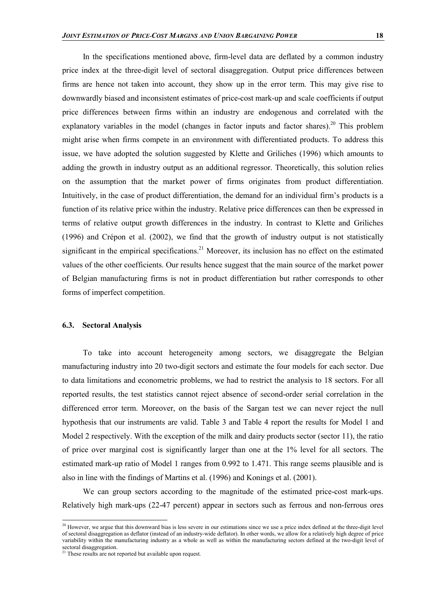In the specifications mentioned above, firm-level data are deflated by a common industry price index at the three-digit level of sectoral disaggregation. Output price differences between firms are hence not taken into account, they show up in the error term. This may give rise to downwardly biased and inconsistent estimates of price-cost mark-up and scale coefficients if output price differences between firms within an industry are endogenous and correlated with the explanatory variables in the model (changes in factor inputs and factor shares).<sup>20</sup> This problem might arise when firms compete in an environment with differentiated products. To address this issue, we have adopted the solution suggested by Klette and Griliches (1996) which amounts to adding the growth in industry output as an additional regressor. Theoretically, this solution relies on the assumption that the market power of firms originates from product differentiation. Intuitively, in the case of product differentiation, the demand for an individual firm's products is a function of its relative price within the industry. Relative price differences can then be expressed in terms of relative output growth differences in the industry. In contrast to Klette and Griliches (1996) and Crépon et al. (2002), we find that the growth of industry output is not statistically significant in the empirical specifications.<sup>21</sup> Moreover, its inclusion has no effect on the estimated values of the other coefficients. Our results hence suggest that the main source of the market power of Belgian manufacturing firms is not in product differentiation but rather corresponds to other forms of imperfect competition.

#### **6.3. Sectoral Analysis**

To take into account heterogeneity among sectors, we disaggregate the Belgian manufacturing industry into 20 two-digit sectors and estimate the four models for each sector. Due to data limitations and econometric problems, we had to restrict the analysis to 18 sectors. For all reported results, the test statistics cannot reject absence of second-order serial correlation in the differenced error term. Moreover, on the basis of the Sargan test we can never reject the null hypothesis that our instruments are valid. Table 3 and Table 4 report the results for Model 1 and Model 2 respectively. With the exception of the milk and dairy products sector (sector 11), the ratio of price over marginal cost is significantly larger than one at the 1% level for all sectors. The estimated mark-up ratio of Model 1 ranges from 0.992 to 1.471. This range seems plausible and is also in line with the findings of Martins et al. (1996) and Konings et al. (2001).

We can group sectors according to the magnitude of the estimated price-cost mark-ups. Relatively high mark-ups (22-47 percent) appear in sectors such as ferrous and non-ferrous ores

l

<sup>&</sup>lt;sup>20</sup> However, we argue that this downward bias is less severe in our estimations since we use a price index defined at the three-digit level of sectoral disaggregation as deflator (instead of an industry-wide deflator). In other words, we allow for a relatively high degree of price variability within the manufacturing industry as a whole as well as within the manufacturing sectors defined at the two-digit level of sectoral disaggregation.

<sup>&</sup>lt;sup>21</sup> These results are not reported but available upon request.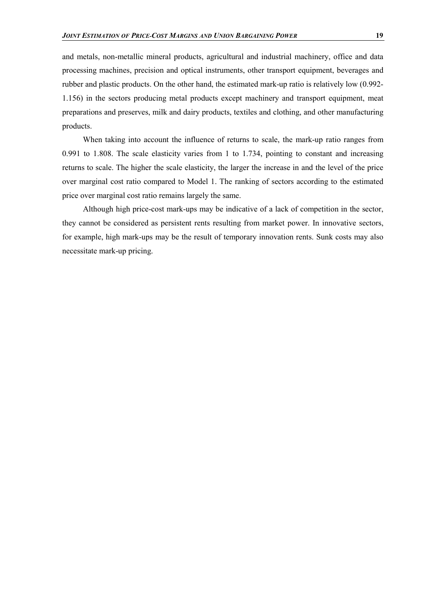and metals, non-metallic mineral products, agricultural and industrial machinery, office and data processing machines, precision and optical instruments, other transport equipment, beverages and rubber and plastic products. On the other hand, the estimated mark-up ratio is relatively low (0.992- 1.156) in the sectors producing metal products except machinery and transport equipment, meat preparations and preserves, milk and dairy products, textiles and clothing, and other manufacturing products.

When taking into account the influence of returns to scale, the mark-up ratio ranges from 0.991 to 1.808. The scale elasticity varies from 1 to 1.734, pointing to constant and increasing returns to scale. The higher the scale elasticity, the larger the increase in and the level of the price over marginal cost ratio compared to Model 1. The ranking of sectors according to the estimated price over marginal cost ratio remains largely the same.

Although high price-cost mark-ups may be indicative of a lack of competition in the sector, they cannot be considered as persistent rents resulting from market power. In innovative sectors, for example, high mark-ups may be the result of temporary innovation rents. Sunk costs may also necessitate mark-up pricing.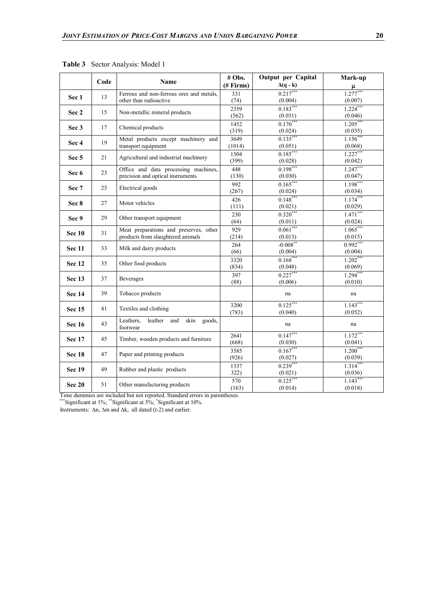|               | Code | Name                                                               | # Obs.        | Output per Capital         | Mark-up                      |
|---------------|------|--------------------------------------------------------------------|---------------|----------------------------|------------------------------|
|               |      |                                                                    | $#$ Firms)    | $\Delta(q - k)$            |                              |
| Sec 1         | 13   | Ferrous and non-ferrous ores and metals,<br>other than radioactive | 331           | $0.217***$                 | $\frac{\mu}{1.277***}$       |
|               |      |                                                                    | (74)<br>2359  | (0.004)<br>$0.183***$      | (0.007)<br>$\frac{1}{1.224}$ |
| Sec 2         | 15   | Non-metallic mineral products                                      |               | (0.031)                    |                              |
|               |      |                                                                    | (562)<br>1452 | $0.170***$                 | $\frac{(0.046)}{1.205***}$   |
| Sec 3         | 17   | Chemical products                                                  | (319)         | $\frac{(0.024)}{0.135***}$ | $\frac{(0.035)}{1.156***}$   |
|               | 19   | Metal products except machinery and                                | 3649          |                            |                              |
| Sec 4         |      | transport equipment                                                | (1014)        | (0.051)                    | $\frac{(0.068)}{1.227***}$   |
| Sec 5         | 21   | Agricultural and industrial machinery                              | 1504          | $0.185***$                 |                              |
|               |      |                                                                    | (399)         | (0.028)                    | $\frac{(0.042)}{1.247***}$   |
| Sec 6         | 23   | Office and data processing machines,                               | 448           | $0.198***$                 |                              |
|               |      | precision and optical instruments                                  | (130)         | (0.030)                    | $\frac{(0.047)}{1.198***}$   |
| Sec 7         | 25   | Electrical goods                                                   | 992           | $0.165***$                 |                              |
|               |      |                                                                    | (267)         |                            |                              |
|               |      |                                                                    | 426           | $\frac{(0.024)}{0.148***}$ | $\frac{(0.034)}{1.174***}$   |
| Sec 8         | 27   | Motor vehicles                                                     | (111)         |                            |                              |
|               |      |                                                                    | 230           | $\frac{(0.021)}{0.320***}$ | $\frac{(0.029)}{1.471***}$   |
| Sec 9         | 29   | Other transport equipment                                          | (64)          | (0.011)                    |                              |
| <b>Sec 10</b> |      | Meat preparations and preserves, other                             | 929           | $0.061***$                 | $\frac{(0.024)}{1.065***}$   |
|               | 31   | products from slaughtered animals                                  | (214)         | (0.013)                    | (0.015)                      |
|               |      | Milk and dairy products                                            | 264           | $-0.008***$                | $0.992***$                   |
| Sec 11        | 33   |                                                                    | (66)          | (0.004)                    | (0.004)                      |
|               |      |                                                                    | 3320          | $0.168***$                 | $1.202***$                   |
| Sec 12        | 35   | Other food products                                                | (834)         | (0.048)                    | (0.069)                      |
| Sec 13<br>37  |      |                                                                    | 397           | $0.227***$                 | $1.294***$                   |
|               |      | <b>Beverages</b>                                                   | (88)          | (0.006)                    | (0.010)                      |
| <b>Sec 14</b> | 39   | Tobacco products                                                   |               | na                         | na                           |
|               |      |                                                                    |               |                            |                              |
| <b>Sec 15</b> | 41   | Textiles and clothing                                              | 3200          | $0.125***$                 | $1.143***$                   |
|               |      |                                                                    | (783)         | (0.040)                    | (0.052)                      |
| <b>Sec 16</b> | 43   | Leathers.<br>leather<br>and<br>skin<br>goods,<br>footwear          |               | na                         | na                           |
|               |      |                                                                    | 2641          | $0.147***$                 | $1.172***$                   |
| <b>Sec 17</b> | 45   | Timber, wooden products and furniture                              | (668)         | (0.030)                    |                              |
|               |      |                                                                    | 3585          | $0.167***$                 | $\frac{(0.041)}{1.200***}$   |
| <b>Sec 18</b> | 47   | Paper and printing products                                        | (926)         |                            |                              |
|               |      |                                                                    | 1337          | $\frac{(0.027)}{0.239***}$ | $\frac{(0.039)}{1.314***}$   |
| <b>Sec 19</b> | 49   | Rubber and plastic products                                        | 322)          | (0.021)                    | (0.036)                      |
|               |      |                                                                    | 570           | $0.125***$                 | $1.143***$                   |
| <b>Sec 20</b> | 51   | Other manufacturing products                                       | (163)         | (0.014)                    | (0.018)                      |

**Table 3** Sector Analysis: Model 1

Time dummies are included but not reported. Standard errors in parentheses.

\*\*\*Significant at 1%; \*\*Significant at 5%; \*Significant at 10%.

Instruments:  $\Delta n$ ,  $\Delta m$  and  $\Delta k$ , all dated (t-2) and earlier.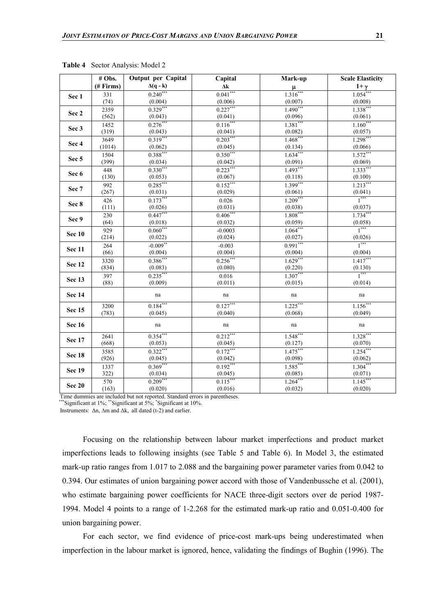|                  | # Obs.    | Output per Capital         | Capital                    | Mark-up                           | <b>Scale Elasticity</b>    |
|------------------|-----------|----------------------------|----------------------------|-----------------------------------|----------------------------|
|                  | (# Firms) | $\Delta(q - k)$            | $\Delta {\bf k}$           |                                   | $\frac{1+\gamma}{1.054}$   |
| Sec 1            | 331       | $0.240***$                 | $0.041***$                 | $\frac{\mu}{1.316^{***}}$         |                            |
|                  | (74)      | (0.004)                    | (0.006)                    | $\frac{(0.007)}{1.490***}$        | $\frac{(0.008)}{1.338***}$ |
| Sec 2            | 2359      | $0.329***$                 | $0.227***$                 |                                   |                            |
|                  | (562)     | $\frac{(0.043)}{0.276***}$ | (0.041)                    | $\frac{(0.096)}{1.381***}$        | (0.061)                    |
| Sec 3            | 1452      |                            | $\frac{1}{0.116}$          |                                   | $1.160***$                 |
|                  | (319)     | $\frac{(0.043)}{0.319***}$ | $\frac{(0.041)}{0.203***}$ | $\frac{(0.082)}{1.468***}$        | (0.057)                    |
| Sec 4            | 3649      |                            |                            |                                   | $1.298***$                 |
|                  | (1014)    | $\frac{(0.062)}{0.388***}$ | (0.045)                    | $\frac{(0.134)}{1.634***}$        | (0.066)                    |
| Sec <sub>5</sub> | 1504      |                            | $0.350***$                 |                                   | $1.572***$                 |
|                  | (399)     | $\frac{(0.034)}{0.330}$    | $\frac{(0.042)}{0.223***}$ | $\frac{(0.091)}{1.493***}$        | $\frac{(0.069)}{1.333***}$ |
| Sec 6            | 448       |                            |                            |                                   |                            |
|                  | (130)     | (0.053)                    | (0.067)                    | (0.118)                           | $\frac{(0.100)}{1.213***}$ |
| Sec 7            | 992       | $0.285***$                 | $0.152***$                 | $\frac{1}{1.399^{***}}$           |                            |
|                  | (267)     | (0.031)                    | (0.029)                    | (0.061)                           | $\frac{(0.041)}{1***}$     |
| Sec 8            | 426       | $0.173***$                 | 0.026                      | $1.209***$                        |                            |
|                  | (111)     | (0.026)                    | (0.031)                    | (0.038)                           | (0.037)                    |
| Sec 9            | 230       | $0.447***$                 | $0.406$ ***                | $1.808***$                        | $1.734***$                 |
|                  | (64)      | (0.018)                    | (0.032)                    | $\frac{(0.059)}{1.064}$           | $\frac{(0.058)}{1***}$     |
| <b>Sec 10</b>    | 929       | $0.060***$                 | $-0.0003$                  |                                   |                            |
|                  | (214)     | (0.022)                    | (0.024)                    | (0.027)                           | $\frac{(0.026)}{1***}$     |
| <b>Sec 11</b>    | 264       | $-0.009$ **                | $-0.003$                   | $0.991***$                        |                            |
|                  | (66)      | (0.004)                    | (0.004)                    | (0.004)                           | $\frac{(0.004)}{1.417}$    |
| Sec 12           | 3320      | $0.386***$                 | $0.256***$                 | $\frac{1.629^{***}}{1.629^{***}}$ |                            |
|                  | (834)     | $\frac{(0.083)}{0.235}$    | (0.080)                    | (0.220)                           | $\frac{(0.130)}{1***}$     |
| Sec 13           | 397       |                            | 0.016                      | $1.307***$                        |                            |
|                  | (88)      | (0.009)                    | (0.011)                    | (0.015)                           | (0.014)                    |
| <b>Sec 14</b>    |           | na                         | na                         | na                                | na                         |
|                  | 3200      | $0.184***$                 | $0.127***$                 | $1.225***$                        | $1.156***$                 |
| Sec 15           | (783)     | (0.045)                    | (0.040)                    | (0.068)                           | (0.049)                    |
|                  |           |                            |                            |                                   |                            |
| <b>Sec 16</b>    |           | na                         | na                         | na                                | na                         |
| <b>Sec 17</b>    | 2641      | $0.354***$                 | $0.212***$                 | $1.548***$                        | $1.328***$                 |
|                  | (668)     | (0.053)                    | (0.045)                    | $\frac{(0.127)}{1.475***}$        | (0.070)                    |
| <b>Sec 18</b>    | 3585      | $0.322***$                 | $0.172***$                 |                                   | $1.254***$                 |
|                  | (926)     | $\frac{(0.045)}{0.369}$    | (0.042)                    | $\frac{(0.098)}{1.585***}$        | (0.062)                    |
| <b>Sec 19</b>    | 1337      |                            | $0.192***$                 |                                   | $1.304***$                 |
|                  | 322)      | (0.034)                    | (0.045)                    | (0.085)                           | (0.071)                    |
|                  | 570       | $0.209***$                 | $0.115***$                 | $1.264***$                        | $1.145***$                 |
| <b>Sec 20</b>    | (163)     | (0.020)                    | (0.016)                    | (0.032)                           | (0.020)                    |

**Table 4** Sector Analysis: Model 2

Time dummies are included but not reported. Standard errors in parentheses.

\*\*\*Significant at 1%; \*\*Significant at 5%; \*Significant at 10%.

Instruments:  $\Delta n$ ,  $\Delta m$  and  $\Delta k$ , all dated (t-2) and earlier.

Focusing on the relationship between labour market imperfections and product market imperfections leads to following insights (see Table 5 and Table 6). In Model 3, the estimated mark-up ratio ranges from 1.017 to 2.088 and the bargaining power parameter varies from 0.042 to 0.394. Our estimates of union bargaining power accord with those of Vandenbussche et al. (2001), who estimate bargaining power coefficients for NACE three-digit sectors over de period 1987- 1994. Model 4 points to a range of 1-2.268 for the estimated mark-up ratio and 0.051-0.400 for union bargaining power.

For each sector, we find evidence of price-cost mark-ups being underestimated when imperfection in the labour market is ignored, hence, validating the findings of Bughin (1996). The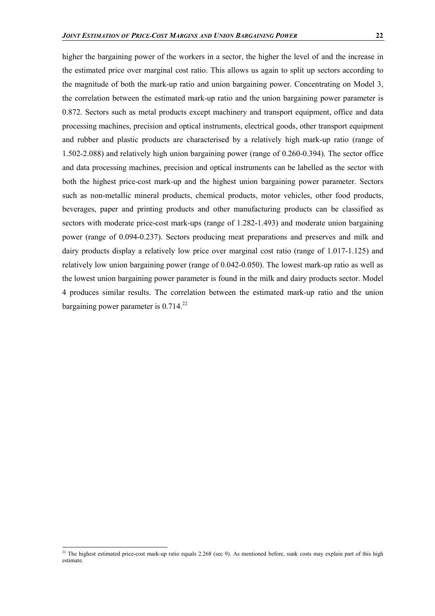higher the bargaining power of the workers in a sector, the higher the level of and the increase in the estimated price over marginal cost ratio. This allows us again to split up sectors according to the magnitude of both the mark-up ratio and union bargaining power. Concentrating on Model 3, the correlation between the estimated mark-up ratio and the union bargaining power parameter is 0.872. Sectors such as metal products except machinery and transport equipment, office and data processing machines, precision and optical instruments, electrical goods, other transport equipment and rubber and plastic products are characterised by a relatively high mark-up ratio (range of 1.502-2.088) and relatively high union bargaining power (range of 0.260-0.394). The sector office and data processing machines, precision and optical instruments can be labelled as the sector with both the highest price-cost mark-up and the highest union bargaining power parameter. Sectors such as non-metallic mineral products, chemical products, motor vehicles, other food products, beverages, paper and printing products and other manufacturing products can be classified as sectors with moderate price-cost mark-ups (range of 1.282-1.493) and moderate union bargaining

power (range of 0.094-0.237). Sectors producing meat preparations and preserves and milk and dairy products display a relatively low price over marginal cost ratio (range of 1.017-1.125) and relatively low union bargaining power (range of 0.042-0.050). The lowest mark-up ratio as well as the lowest union bargaining power parameter is found in the milk and dairy products sector. Model 4 produces similar results. The correlation between the estimated mark-up ratio and the union bargaining power parameter is  $0.714^{22}$ 

l

<sup>&</sup>lt;sup>22</sup> The highest estimated price-cost mark-up ratio equals 2.268 (sec 9). As mentioned before, sunk costs may explain part of this high estimate.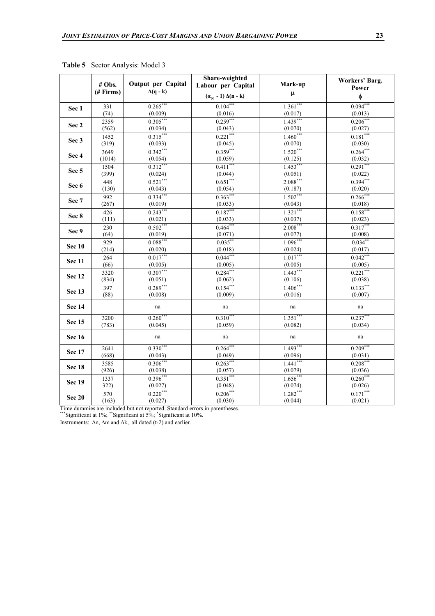|                  | # Obs.<br>(# Firms) | Output per Capital<br>$\Delta(q - k)$ | Share-weighted<br>Labour per Capital | Mark-up                           | Workers' Barg.<br>Power |
|------------------|---------------------|---------------------------------------|--------------------------------------|-----------------------------------|-------------------------|
|                  |                     |                                       | $(\alpha_{N} - 1) \Delta(n - k)$     | $\pmb{\mu}$                       | φ                       |
| Sec 1            | 331                 | $0.265***$                            | $0.104***$                           | $1.361***$                        | $0.094***$              |
|                  | (74)                | (0.009)                               | (0.016)                              | (0.017)                           | (0.013)                 |
| Sec 2            | 2359                | $0.305***$                            | $0.259***$                           | $1.439***$                        | $0.206***$              |
|                  | (562)               | $\frac{(0.034)}{0.315***}$            | (0.043)                              | (0.070)                           | (0.027)                 |
| Sec 3            | 1452                |                                       | $0.221***$                           | $1.460***$                        | $0.181***$              |
|                  | (319)               | (0.033)                               | (0.045)                              | (0.070)                           | (0.030)                 |
| Sec 4            | 3649                | $0.342***$                            | $0.359***$                           | $1.520***$                        | $0.264***$              |
|                  | (1014)              | (0.054)<br>$0.312***$                 | (0.059)<br>$0.411***$                | (0.125)<br>$1.453***$             | (0.032)<br>$0.291***$   |
| Sec <sub>5</sub> | 1504<br>(399)       | (0.024)                               | (0.044)                              |                                   | (0.022)                 |
|                  | 448                 | $0.521***$                            | $0.651***$                           | $\frac{(0.051)}{2.088***}$        | $0.394***$              |
| Sec 6            | (130)               | (0.043)                               | (0.054)                              |                                   | (0.020)                 |
|                  | 992                 | $0.334***$                            | $0.363***$                           | $\frac{(0.187)}{1.502***}$        | $0.266$ ***             |
| Sec 7            | (267)               | (0.019)                               | (0.033)                              | (0.043)                           | (0.018)                 |
|                  | 426                 | $0.243***$                            | $0.187***$                           | $1.321***$                        | $0.158***$              |
| Sec 8            | (111)               | (0.021)                               | (0.033)                              | (0.037)                           | (0.023)                 |
|                  | 230                 | $0.502***$                            | $0.464***$                           | $2.008***$                        | $0.317***$              |
| Sec 9            | (64)                | (0.019)                               | (0.071)                              | (0.077)                           | (0.008)                 |
| <b>Sec 10</b>    | 929                 | $0.088***$                            | $0.035***$                           | $\frac{1.096^{***}}{1.096^{***}}$ | $0.034***$              |
|                  | (214)               | (0.020)                               | (0.018)                              | (0.024)                           | (0.017)                 |
| Sec 11           | 264                 | $0.017***$                            | $0.044***$                           | $1.017***$                        | $0.042***$              |
|                  | (66)                | (0.005)                               | (0.005)                              | $\frac{(0.005)}{1.443***}$        | (0.005)                 |
| <b>Sec 12</b>    | 3320                | $0.307***$                            | $0.284***$                           |                                   | $0.221***$              |
|                  | (834)               | (0.051)                               | (0.062)                              | (0.106)                           | (0.038)                 |
| <b>Sec 13</b>    | 397                 | $0.289***$                            | $0.154***$                           | $1.406***$                        | $0.133***$              |
|                  | (88)                | (0.008)                               | (0.009)                              | (0.016)                           | (0.007)                 |
| <b>Sec 14</b>    |                     | na                                    | na                                   | na                                | na                      |
| <b>Sec 15</b>    | 3200                | $0.260***$                            | $0.310***$                           | $1.351***$                        | $0.237***$              |
|                  | (783)               | (0.045)                               | (0.059)                              | (0.082)                           | (0.034)                 |
| <b>Sec 16</b>    |                     | na                                    | na                                   | na                                | na                      |
| <b>Sec 17</b>    | 2641                | $0.330***$                            | $0.264***$                           | $1.493***$                        | $0.209***$              |
|                  | (668)               | (0.043)                               | (0.049)                              | (0.096)                           | (0.031)                 |
| Sec 18           | 3585                | $0.306***$                            | $0.263***$                           | $1.441***$                        | $0.208***$              |
|                  | (926)               | (0.038)                               | $\frac{(0.057)}{0.351***}$           | $\frac{(0.079)}{1.656***}$        | (0.036)                 |
| <b>Sec 19</b>    | 1337                | $0.396***$                            |                                      |                                   | $0.260***$              |
|                  | 322)                | (0.027)                               | (0.048)                              | (0.074)                           | (0.026)                 |
| <b>Sec 20</b>    | 570                 | $0.220***$                            | $0.206***$                           | $1.282***$                        | $0.171***$              |
|                  | (163)               | (0.027)                               | (0.030)                              | (0.044)                           | (0.021)                 |

**Table 5** Sector Analysis: Model 3

Time dummies are included but not reported. Standard errors in parentheses.

\*\*\*Significant at  $1\%$ ; \*\*Significant at  $5\%$ ; \*Significant at  $10\%$ .

Instruments:  $\Delta n$ ,  $\Delta m$  and  $\Delta k$ , all dated (t-2) and earlier.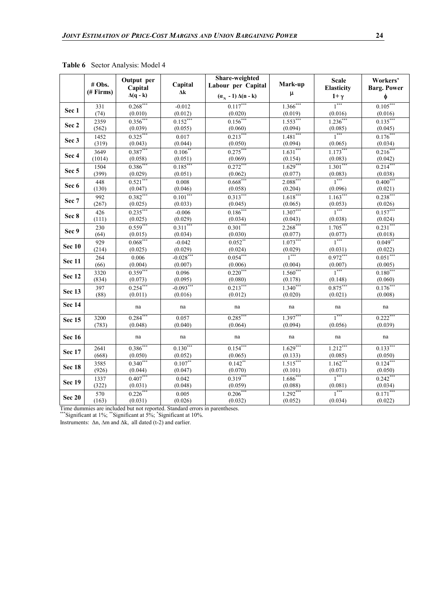|                  | # Obs.<br>(# Firms) | Output per<br>Capital<br>$\Delta(q - k)$ | Capital<br>$\Delta {\bf k}$ | Share-weighted<br>Labour per Capital<br>$(\alpha_{N} - 1) \Delta(n - k)$ | Mark-up<br>$\pmb{\mu}$ | <b>Scale</b><br>Elasticity<br>$1+\gamma$ | Workers'<br><b>Barg. Power</b><br>φ |
|------------------|---------------------|------------------------------------------|-----------------------------|--------------------------------------------------------------------------|------------------------|------------------------------------------|-------------------------------------|
| Sec 1            | 331                 | $0.268***$                               | $-0.012$                    | $0.117***$                                                               | $1.366***$             | $1***$                                   | $0.105***$                          |
|                  | (74)                | (0.010)                                  | (0.012)                     | (0.020)                                                                  | (0.019)                | (0.016)                                  | (0.016)                             |
| Sec 2            | 2359                | $0.356***$                               | $0.152***$                  | $0.156***$                                                               | $1.553***$             | $1.236***$                               | $0.135***$                          |
|                  | (562)               | (0.039)                                  | (0.055)                     | (0.060)                                                                  | (0.094)                | $\frac{(0.085)}{1***}$                   | (0.045)                             |
| Sec 3            | 1452                | $0.325***$                               | 0.017                       | $0.213***$                                                               | $1.481***$             |                                          | $0.176***$                          |
|                  | (319)               | (0.043)                                  | (0.044)                     | (0.050)                                                                  | (0.094)                | (0.065)                                  | (0.034)                             |
| Sec 4            | 3649                | $0.387***$                               | $0.106***$                  | $0.275***$                                                               | $1.631***$             | $1.173***$                               | $0.216***$                          |
|                  | (1014)              | (0.058)                                  | (0.051)                     | (0.069)                                                                  | (0.154)                | (0.083)                                  | (0.042)                             |
| Sec <sub>5</sub> | 1504                | $0.386***$                               | $0.185***$                  | $0.272***$                                                               | $1.629***$             | $1.301***$                               | $0.214***$                          |
|                  | (399)               | (0.029)                                  | (0.051)                     | (0.062)                                                                  | (0.077)                | (0.083)                                  | (0.038)                             |
| Sec 6            | 448                 | $0.521***$                               | 0.008                       | $0.668***$                                                               | $2.088***$             | $1***$                                   | $0.400***$                          |
|                  | (130)               | (0.047)                                  | (0.046)                     | (0.058)                                                                  | (0.204)                | (0.096)                                  | (0.021)                             |
| Sec 7            | 992                 | $0.382***$                               | $0.101***$                  | $0.313***$                                                               | $1.618***$             | $1.163***$                               | $0.238***$                          |
|                  | (267)               | (0.025)                                  | (0.033)                     | (0.045)                                                                  | (0.065)                | (0.053)                                  | (0.026)                             |
| Sec 8            | 426                 | $0.235***$                               | $-0.006$                    | $0.186***$                                                               | $1.307***$             | $1***$                                   | $0.157***$                          |
|                  | (111)               | (0.025)                                  | (0.029)                     | (0.034)                                                                  | (0.043)                | (0.038)                                  | (0.024)                             |
| Sec 9            | 230                 | $0.559***$                               | $0.311***$                  | $0.301***$                                                               | $2.268***$             | $1.705***$                               | $0.231***$                          |
|                  | (64)                | (0.015)                                  | (0.034)                     | (0.030)                                                                  | (0.077)                | $\frac{(0.077)}{1***}$                   | (0.018)                             |
| <b>Sec 10</b>    | 929                 | $0.068***$                               | $-0.042$                    | $0.052**$                                                                | $1.073***$             |                                          | $0.049**$                           |
|                  | (214)               | (0.025)                                  | (0.029)                     | (0.024)                                                                  | (0.029)                | (0.031)                                  | (0.022)                             |
| <b>Sec 11</b>    | 264                 | 0.006                                    | $-0.028***$                 | $0.054***$                                                               | $1***$                 | $0.972***$                               | $0.051***$                          |
|                  | (66)                | (0.004)                                  | (0.007)                     | (0.006)                                                                  | (0.004)                | (0.007)                                  | (0.005)                             |
| <b>Sec 12</b>    | 3320                | $0.359***$                               | 0.096                       | $0.220***$                                                               | $1.560***$             | $\overline{1}^{***}$                     | $0.180***$                          |
|                  | (834)               | (0.073)                                  | (0.095)                     | (0.080)                                                                  | (0.178)                | (0.148)                                  | (0.060)                             |
| <b>Sec 13</b>    | 397                 | $0.254***$                               | $-0.093***$                 | $0.213***$                                                               | $1.340***$             | $0.875***$                               | $0.176***$                          |
|                  | (88)                | (0.011)                                  | (0.016)                     | (0.012)                                                                  | (0.020)                | (0.021)                                  | (0.008)                             |
| <b>Sec 14</b>    |                     | na                                       | na                          | na                                                                       | na                     | na                                       | na                                  |
| Sec 15           | 3200                | $0.284$ **                               | 0.057                       | $0.285$ **                                                               | $1.397***$             | $1***$                                   | $0.222$ **                          |
|                  | (783)               | (0.048)                                  | (0.040)                     | (0.064)                                                                  | (0.094)                | (0.056)                                  | (0.039)                             |
| <b>Sec 16</b>    |                     | na                                       | na                          | na                                                                       | na                     | na                                       | na                                  |
|                  | 2641                | $0.386***$                               | $0.130***$                  | $0.154***$                                                               | $1.629***$             | $1.212***$                               | $0.133***$                          |
| <b>Sec 17</b>    | (668)               | (0.050)                                  | (0.052)                     | (0.065)                                                                  | (0.133)                | (0.085)                                  | (0.050)                             |
|                  | 3585                | $0.340***$                               | $0.107**$                   | $0.142***$                                                               | $1.515***$             | $1.162***$                               | $0.124***$                          |
| <b>Sec 18</b>    | (926)               | (0.044)                                  | (0.047)                     | (0.070)                                                                  | (0.101)                | (0.071)                                  | (0.050)                             |
|                  | 1337                | $0.407***$                               | 0.042                       | $0.319***$                                                               | $1.686***$             | $1***$                                   | $0.242***$                          |
| <b>Sec 19</b>    | (322)               | (0.031)                                  | (0.048)                     | (0.059)                                                                  | (0.088)                | (0.081)                                  | (0.034)                             |
| <b>Sec 20</b>    | 570<br>(163)        | $0.226***$<br>(0.031)                    | 0.005<br>(0.026)            | $0.206***$<br>(0.032)                                                    | $1.292***$<br>(0.052)  | $\frac{1}{1}$<br>(0.034)                 | $0.171***$<br>(0.022)               |

**Table 6** Sector Analysis: Model 4

Time dummies are included but not reported. Standard errors in parentheses.

\*\*\*Significant at  $1\%$ ; \*\*Significant at  $5\%$ ; \*Significant at  $10\%$ . Instruments:  $\Delta n$ ,  $\Delta m$  and  $\Delta k$ , all dated (t-2) and earlier.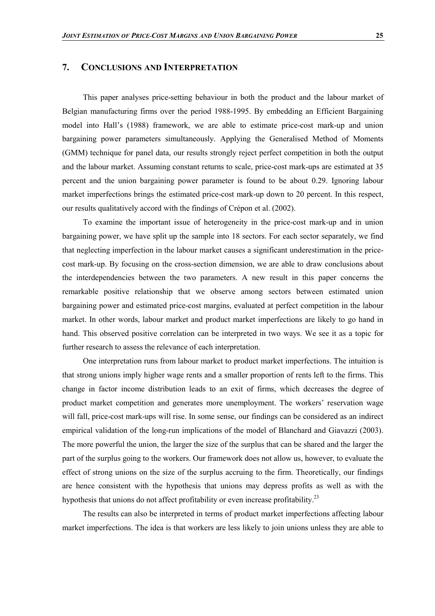#### **7. CONCLUSIONS AND INTERPRETATION**

This paper analyses price-setting behaviour in both the product and the labour market of Belgian manufacturing firms over the period 1988-1995. By embedding an Efficient Bargaining model into Hall's (1988) framework, we are able to estimate price-cost mark-up and union bargaining power parameters simultaneously. Applying the Generalised Method of Moments (GMM) technique for panel data, our results strongly reject perfect competition in both the output and the labour market. Assuming constant returns to scale, price-cost mark-ups are estimated at 35 percent and the union bargaining power parameter is found to be about 0.29. Ignoring labour market imperfections brings the estimated price-cost mark-up down to 20 percent. In this respect, our results qualitatively accord with the findings of Crépon et al. (2002).

To examine the important issue of heterogeneity in the price-cost mark-up and in union bargaining power, we have split up the sample into 18 sectors. For each sector separately, we find that neglecting imperfection in the labour market causes a significant underestimation in the pricecost mark-up. By focusing on the cross-section dimension, we are able to draw conclusions about the interdependencies between the two parameters. A new result in this paper concerns the remarkable positive relationship that we observe among sectors between estimated union bargaining power and estimated price-cost margins, evaluated at perfect competition in the labour market. In other words, labour market and product market imperfections are likely to go hand in hand. This observed positive correlation can be interpreted in two ways. We see it as a topic for further research to assess the relevance of each interpretation.

One interpretation runs from labour market to product market imperfections. The intuition is that strong unions imply higher wage rents and a smaller proportion of rents left to the firms. This change in factor income distribution leads to an exit of firms, which decreases the degree of product market competition and generates more unemployment. The workers' reservation wage will fall, price-cost mark-ups will rise. In some sense, our findings can be considered as an indirect empirical validation of the long-run implications of the model of Blanchard and Giavazzi (2003). The more powerful the union, the larger the size of the surplus that can be shared and the larger the part of the surplus going to the workers. Our framework does not allow us, however, to evaluate the effect of strong unions on the size of the surplus accruing to the firm. Theoretically, our findings are hence consistent with the hypothesis that unions may depress profits as well as with the hypothesis that unions do not affect profitability or even increase profitability.<sup>23</sup>

The results can also be interpreted in terms of product market imperfections affecting labour market imperfections. The idea is that workers are less likely to join unions unless they are able to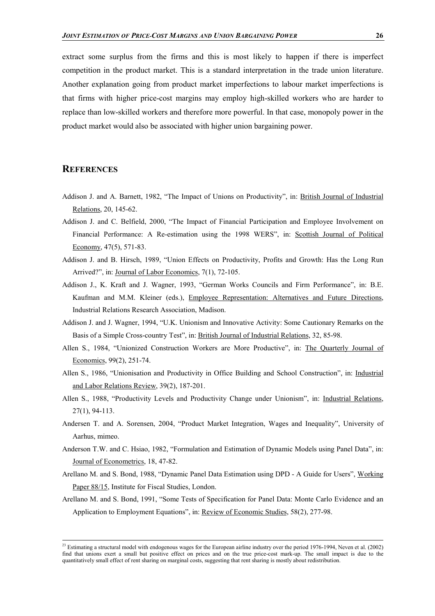extract some surplus from the firms and this is most likely to happen if there is imperfect competition in the product market. This is a standard interpretation in the trade union literature. Another explanation going from product market imperfections to labour market imperfections is that firms with higher price-cost margins may employ high-skilled workers who are harder to replace than low-skilled workers and therefore more powerful. In that case, monopoly power in the product market would also be associated with higher union bargaining power.

# **REFERENCES**

- Addison J. and A. Barnett, 1982, "The Impact of Unions on Productivity", in: British Journal of Industrial Relations, 20, 145-62.
- Addison J. and C. Belfield, 2000, "The Impact of Financial Participation and Employee Involvement on Financial Performance: A Re-estimation using the 1998 WERS", in: Scottish Journal of Political Economy, 47(5), 571-83.
- Addison J. and B. Hirsch, 1989, "Union Effects on Productivity, Profits and Growth: Has the Long Run Arrived?", in: Journal of Labor Economics, 7(1), 72-105.
- Addison J., K. Kraft and J. Wagner, 1993, "German Works Councils and Firm Performance", in: B.E. Kaufman and M.M. Kleiner (eds.), Employee Representation: Alternatives and Future Directions, Industrial Relations Research Association, Madison.
- Addison J. and J. Wagner, 1994, "U.K. Unionism and Innovative Activity: Some Cautionary Remarks on the Basis of a Simple Cross-country Test", in: British Journal of Industrial Relations, 32, 85-98.
- Allen S., 1984, "Unionized Construction Workers are More Productive", in: The Quarterly Journal of Economics, 99(2), 251-74.
- Allen S., 1986, "Unionisation and Productivity in Office Building and School Construction", in: Industrial and Labor Relations Review, 39(2), 187-201.
- Allen S., 1988, "Productivity Levels and Productivity Change under Unionism", in: Industrial Relations, 27(1), 94-113.
- Andersen T. and A. Sorensen, 2004, "Product Market Integration, Wages and Inequality", University of Aarhus, mimeo.
- Anderson T.W. and C. Hsiao, 1982, "Formulation and Estimation of Dynamic Models using Panel Data", in: Journal of Econometrics, 18, 47-82.
- Arellano M. and S. Bond, 1988, "Dynamic Panel Data Estimation using DPD A Guide for Users", Working Paper 88/15, Institute for Fiscal Studies, London.
- Arellano M. and S. Bond, 1991, "Some Tests of Specification for Panel Data: Monte Carlo Evidence and an Application to Employment Equations", in: Review of Economic Studies, 58(2), 277-98.

 $23$  Estimating a structural model with endogenous wages for the European airline industry over the period 1976-1994, Neven et al. (2002) find that unions exert a small but positive effect on prices and on the true price-cost mark-up. The small impact is due to the quantitatively small effect of rent sharing on marginal costs, suggesting that rent sharing is mostly about redistribution.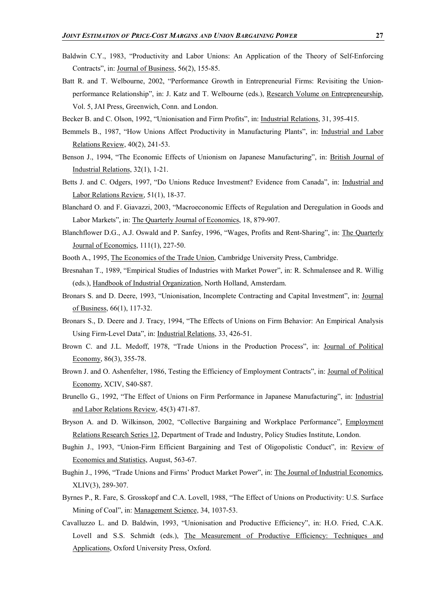- Baldwin C.Y., 1983, "Productivity and Labor Unions: An Application of the Theory of Self-Enforcing Contracts", in: Journal of Business, 56(2), 155-85.
- Batt R. and T. Welbourne, 2002, "Performance Growth in Entrepreneurial Firms: Revisiting the Unionperformance Relationship", in: J. Katz and T. Welbourne (eds.), Research Volume on Entrepreneurship, Vol. 5, JAI Press, Greenwich, Conn. and London.
- Becker B. and C. Olson, 1992, "Unionisation and Firm Profits", in: Industrial Relations, 31, 395-415.
- Bemmels B., 1987, "How Unions Affect Productivity in Manufacturing Plants", in: Industrial and Labor Relations Review, 40(2), 241-53.
- Benson J., 1994, "The Economic Effects of Unionism on Japanese Manufacturing", in: British Journal of Industrial Relations, 32(1), 1-21.
- Betts J. and C. Odgers, 1997, "Do Unions Reduce Investment? Evidence from Canada", in: Industrial and Labor Relations Review, 51(1), 18-37.
- Blanchard O. and F. Giavazzi, 2003, "Macroeconomic Effects of Regulation and Deregulation in Goods and Labor Markets", in: The Quarterly Journal of Economics, 18, 879-907.
- Blanchflower D.G., A.J. Oswald and P. Sanfey, 1996, "Wages, Profits and Rent-Sharing", in: The Quarterly Journal of Economics, 111(1), 227-50.
- Booth A., 1995, The Economics of the Trade Union, Cambridge University Press, Cambridge.
- Bresnahan T., 1989, "Empirical Studies of Industries with Market Power", in: R. Schmalensee and R. Willig (eds.), Handbook of Industrial Organization, North Holland, Amsterdam.
- Bronars S. and D. Deere, 1993, "Unionisation, Incomplete Contracting and Capital Investment", in: Journal of Business, 66(1), 117-32.
- Bronars S., D. Deere and J. Tracy, 1994, "The Effects of Unions on Firm Behavior: An Empirical Analysis Using Firm-Level Data", in: Industrial Relations, 33, 426-51.
- Brown C. and J.L. Medoff, 1978, "Trade Unions in the Production Process", in: Journal of Political Economy, 86(3), 355-78.
- Brown J. and O. Ashenfelter, 1986, Testing the Efficiency of Employment Contracts", in: Journal of Political Economy, XCIV, S40-S87.
- Brunello G., 1992, "The Effect of Unions on Firm Performance in Japanese Manufacturing", in: Industrial and Labor Relations Review, 45(3) 471-87.
- Bryson A. and D. Wilkinson, 2002, "Collective Bargaining and Workplace Performance", Employment Relations Research Series 12, Department of Trade and Industry, Policy Studies Institute, London.
- Bughin J., 1993, "Union-Firm Efficient Bargaining and Test of Oligopolistic Conduct", in: Review of Economics and Statistics, August, 563-67.
- Bughin J., 1996, "Trade Unions and Firms' Product Market Power", in: The Journal of Industrial Economics, XLIV(3), 289-307.
- Byrnes P., R. Fare, S. Grosskopf and C.A. Lovell, 1988, "The Effect of Unions on Productivity: U.S. Surface Mining of Coal", in: Management Science, 34, 1037-53.
- Cavalluzzo L. and D. Baldwin, 1993, "Unionisation and Productive Efficiency", in: H.O. Fried, C.A.K. Lovell and S.S. Schmidt (eds.), The Measurement of Productive Efficiency: Techniques and Applications, Oxford University Press, Oxford.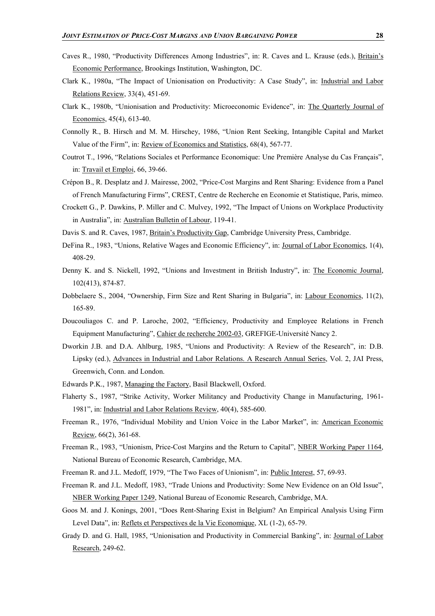- Caves R., 1980, "Productivity Differences Among Industries", in: R. Caves and L. Krause (eds.), Britain's Economic Performance, Brookings Institution, Washington, DC.
- Clark K., 1980a, "The Impact of Unionisation on Productivity: A Case Study", in: Industrial and Labor Relations Review, 33(4), 451-69.
- Clark K., 1980b, "Unionisation and Productivity: Microeconomic Evidence", in: The Quarterly Journal of Economics, 45(4), 613-40.
- Connolly R., B. Hirsch and M. M. Hirschey, 1986, "Union Rent Seeking, Intangible Capital and Market Value of the Firm", in: Review of Economics and Statistics, 68(4), 567-77.
- Coutrot T., 1996, "Relations Sociales et Performance Economique: Une Première Analyse du Cas Français", in: Travail et Emploi, 66, 39-66.
- Crépon B., R. Desplatz and J. Mairesse, 2002, "Price-Cost Margins and Rent Sharing: Evidence from a Panel of French Manufacturing Firms", CREST, Centre de Recherche en Economie et Statistique, Paris, mimeo.
- Crockett G., P. Dawkins, P. Miller and C. Mulvey, 1992, "The Impact of Unions on Workplace Productivity in Australia", in: Australian Bulletin of Labour, 119-41.
- Davis S. and R. Caves, 1987, Britain's Productivity Gap, Cambridge University Press, Cambridge.
- DeFina R., 1983, "Unions, Relative Wages and Economic Efficiency", in: Journal of Labor Economics, 1(4), 408-29.
- Denny K. and S. Nickell, 1992, "Unions and Investment in British Industry", in: The Economic Journal, 102(413), 874-87.
- Dobbelaere S., 2004, "Ownership, Firm Size and Rent Sharing in Bulgaria", in: Labour Economics, 11(2), 165-89.
- Doucouliagos C. and P. Laroche, 2002, "Efficiency, Productivity and Employee Relations in French Equipment Manufacturing", Cahier de recherche 2002-03, GREFIGE-Université Nancy 2.
- Dworkin J.B. and D.A. Ahlburg, 1985, "Unions and Productivity: A Review of the Research", in: D.B. Lipsky (ed.), Advances in Industrial and Labor Relations. A Research Annual Series, Vol. 2, JAI Press, Greenwich, Conn. and London.
- Edwards P.K., 1987, Managing the Factory, Basil Blackwell, Oxford.
- Flaherty S., 1987, "Strike Activity, Worker Militancy and Productivity Change in Manufacturing, 1961- 1981", in: Industrial and Labor Relations Review, 40(4), 585-600.
- Freeman R., 1976, "Individual Mobility and Union Voice in the Labor Market", in: American Economic Review, 66(2), 361-68.
- Freeman R., 1983, "Unionism, Price-Cost Margins and the Return to Capital", NBER Working Paper 1164, National Bureau of Economic Research, Cambridge, MA.
- Freeman R. and J.L. Medoff, 1979, "The Two Faces of Unionism", in: Public Interest, 57, 69-93.
- Freeman R. and J.L. Medoff, 1983, "Trade Unions and Productivity: Some New Evidence on an Old Issue", NBER Working Paper 1249, National Bureau of Economic Research, Cambridge, MA.
- Goos M. and J. Konings, 2001, "Does Rent-Sharing Exist in Belgium? An Empirical Analysis Using Firm Level Data", in: Reflets et Perspectives de la Vie Economique, XL (1-2), 65-79.
- Grady D. and G. Hall, 1985, "Unionisation and Productivity in Commercial Banking", in: Journal of Labor Research, 249-62.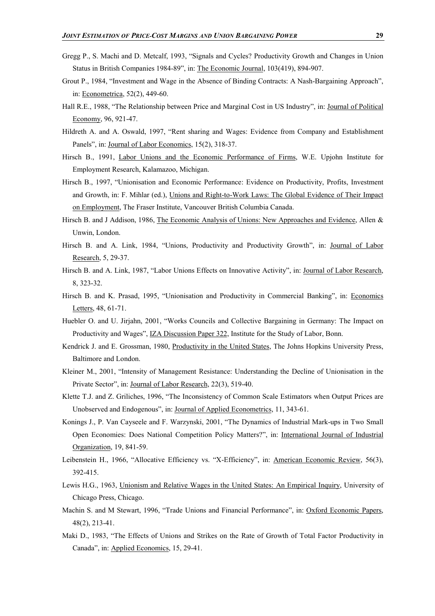- Gregg P., S. Machi and D. Metcalf, 1993, "Signals and Cycles? Productivity Growth and Changes in Union Status in British Companies 1984-89", in: The Economic Journal, 103(419), 894-907.
- Grout P., 1984, "Investment and Wage in the Absence of Binding Contracts: A Nash-Bargaining Approach", in: Econometrica, 52(2), 449-60.
- Hall R.E., 1988, "The Relationship between Price and Marginal Cost in US Industry", in: Journal of Political Economy, 96, 921-47.
- Hildreth A. and A. Oswald, 1997, "Rent sharing and Wages: Evidence from Company and Establishment Panels", in: Journal of Labor Economics, 15(2), 318-37.
- Hirsch B., 1991, Labor Unions and the Economic Performance of Firms, W.E. Upjohn Institute for Employment Research, Kalamazoo, Michigan.
- Hirsch B., 1997, "Unionisation and Economic Performance: Evidence on Productivity, Profits, Investment and Growth, in: F. Mihlar (ed.), Unions and Right-to-Work Laws: The Global Evidence of Their Impact on Employment, The Fraser Institute, Vancouver British Columbia Canada.
- Hirsch B. and J Addison, 1986, The Economic Analysis of Unions: New Approaches and Evidence, Allen & Unwin, London.
- Hirsch B. and A. Link, 1984, "Unions, Productivity and Productivity Growth", in: Journal of Labor Research, 5, 29-37.
- Hirsch B. and A. Link, 1987, "Labor Unions Effects on Innovative Activity", in: Journal of Labor Research, 8, 323-32.
- Hirsch B. and K. Prasad, 1995, "Unionisation and Productivity in Commercial Banking", in: Economics Letters, 48, 61-71.
- Huebler O. and U. Jirjahn, 2001, "Works Councils and Collective Bargaining in Germany: The Impact on Productivity and Wages", IZA Discussion Paper 322, Institute for the Study of Labor, Bonn.
- Kendrick J. and E. Grossman, 1980, Productivity in the United States, The Johns Hopkins University Press, Baltimore and London.
- Kleiner M., 2001, "Intensity of Management Resistance: Understanding the Decline of Unionisation in the Private Sector", in: Journal of Labor Research, 22(3), 519-40.
- Klette T.J. and Z. Griliches, 1996, "The Inconsistency of Common Scale Estimators when Output Prices are Unobserved and Endogenous", in: Journal of Applied Econometrics, 11, 343-61.
- Konings J., P. Van Cayseele and F. Warzynski, 2001, "The Dynamics of Industrial Mark-ups in Two Small Open Economies: Does National Competition Policy Matters?", in: International Journal of Industrial Organization, 19, 841-59.
- Leibenstein H., 1966, "Allocative Efficiency vs. "X-Efficiency", in: American Economic Review, 56(3), 392-415.
- Lewis H.G., 1963, Unionism and Relative Wages in the United States: An Empirical Inquiry, University of Chicago Press, Chicago.
- Machin S. and M Stewart, 1996, "Trade Unions and Financial Performance", in: Oxford Economic Papers, 48(2), 213-41.
- Maki D., 1983, "The Effects of Unions and Strikes on the Rate of Growth of Total Factor Productivity in Canada", in: Applied Economics, 15, 29-41.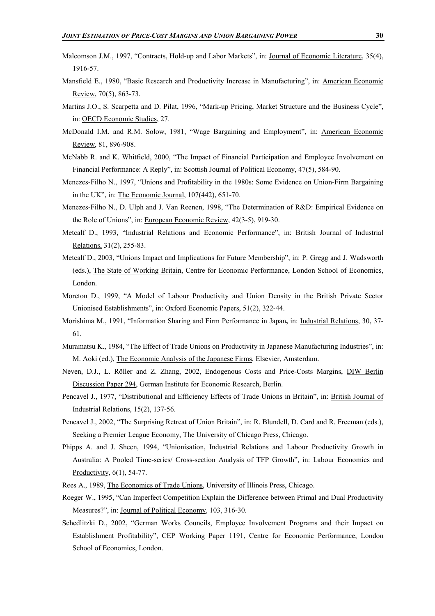- Malcomson J.M., 1997, "Contracts, Hold-up and Labor Markets", in: Journal of Economic Literature, 35(4), 1916-57.
- Mansfield E., 1980, "Basic Research and Productivity Increase in Manufacturing", in: American Economic Review, 70(5), 863-73.
- Martins J.O., S. Scarpetta and D. Pilat, 1996, "Mark-up Pricing, Market Structure and the Business Cycle", in: OECD Economic Studies, 27.
- McDonald I.M. and R.M. Solow, 1981, "Wage Bargaining and Employment", in: American Economic Review, 81, 896-908.
- McNabb R. and K. Whitfield, 2000, "The Impact of Financial Participation and Employee Involvement on Financial Performance: A Reply", in: Scottish Journal of Political Economy, 47(5), 584-90.
- Menezes-Filho N., 1997, "Unions and Profitability in the 1980s: Some Evidence on Union-Firm Bargaining in the UK", in: The Economic Journal, 107(442), 651-70.
- Menezes-Filho N., D. Ulph and J. Van Reenen, 1998, "The Determination of R&D: Empirical Evidence on the Role of Unions", in: European Economic Review, 42(3-5), 919-30.
- Metcalf D., 1993, "Industrial Relations and Economic Performance", in: British Journal of Industrial Relations, 31(2), 255-83.
- Metcalf D., 2003, "Unions Impact and Implications for Future Membership", in: P. Gregg and J. Wadsworth (eds.), The State of Working Britain, Centre for Economic Performance, London School of Economics, London.
- Moreton D., 1999, "A Model of Labour Productivity and Union Density in the British Private Sector Unionised Establishments", in: Oxford Economic Papers, 51(2), 322-44.
- Morishima M., 1991, "Information Sharing and Firm Performance in Japan**,** in: Industrial Relations, 30, 37- 61.
- Muramatsu K., 1984, "The Effect of Trade Unions on Productivity in Japanese Manufacturing Industries", in: M. Aoki (ed.), The Economic Analysis of the Japanese Firms, Elsevier, Amsterdam.
- Neven, D.J., L. Röller and Z. Zhang, 2002, Endogenous Costs and Price-Costs Margins, DIW Berlin Discussion Paper 294, German Institute for Economic Research, Berlin.
- Pencavel J., 1977, "Distributional and Efficiency Effects of Trade Unions in Britain", in: British Journal of Industrial Relations, 15(2), 137-56.
- Pencavel J., 2002, "The Surprising Retreat of Union Britain", in: R. Blundell, D. Card and R. Freeman (eds.), Seeking a Premier League Economy, The University of Chicago Press, Chicago.
- Phipps A. and J. Sheen, 1994, "Unionisation, Industrial Relations and Labour Productivity Growth in Australia: A Pooled Time-series/ Cross-section Analysis of TFP Growth", in: Labour Economics and Productivity, 6(1), 54-77.
- Rees A., 1989, The Economics of Trade Unions, University of Illinois Press, Chicago.
- Roeger W., 1995, "Can Imperfect Competition Explain the Difference between Primal and Dual Productivity Measures?", in: Journal of Political Economy, 103, 316-30.
- Schedlitzki D., 2002, "German Works Councils, Employee Involvement Programs and their Impact on Establishment Profitability", CEP Working Paper 1191, Centre for Economic Performance, London School of Economics, London.